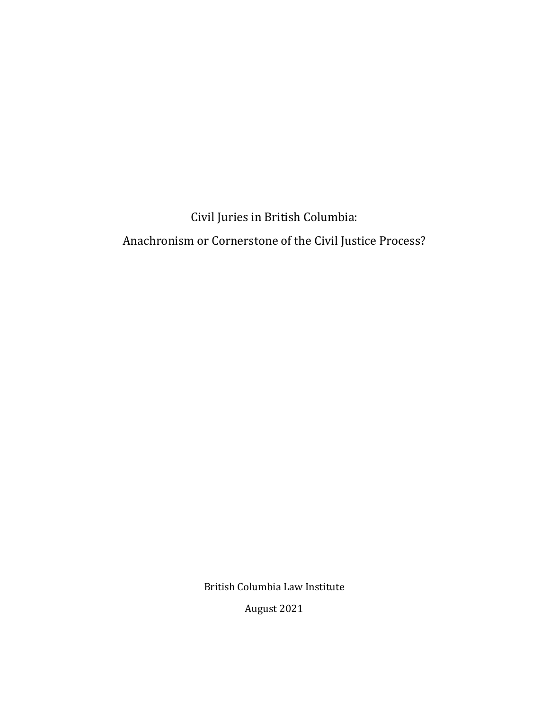Civil Juries in British Columbia: Anachronism or Cornerstone of the Civil Justice Process?

British Columbia Law Institute

August 2021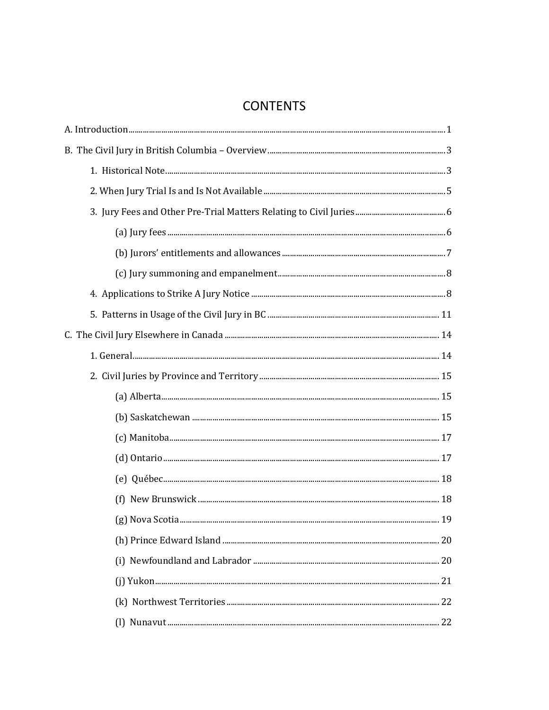# **CONTENTS**

| .19 |
|-----|
|     |
|     |
|     |
|     |
|     |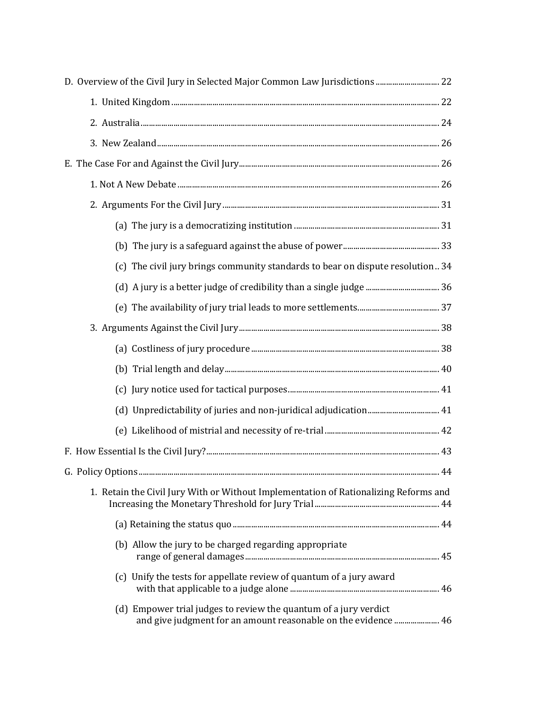| D. Overview of the Civil Jury in Selected Major Common Law Jurisdictions  22                                                       |  |
|------------------------------------------------------------------------------------------------------------------------------------|--|
|                                                                                                                                    |  |
|                                                                                                                                    |  |
|                                                                                                                                    |  |
|                                                                                                                                    |  |
|                                                                                                                                    |  |
|                                                                                                                                    |  |
|                                                                                                                                    |  |
|                                                                                                                                    |  |
| (c) The civil jury brings community standards to bear on dispute resolution34                                                      |  |
|                                                                                                                                    |  |
|                                                                                                                                    |  |
|                                                                                                                                    |  |
|                                                                                                                                    |  |
|                                                                                                                                    |  |
|                                                                                                                                    |  |
|                                                                                                                                    |  |
|                                                                                                                                    |  |
|                                                                                                                                    |  |
|                                                                                                                                    |  |
| 1. Retain the Civil Jury With or Without Implementation of Rationalizing Reforms and                                               |  |
|                                                                                                                                    |  |
| (b) Allow the jury to be charged regarding appropriate                                                                             |  |
| (c) Unify the tests for appellate review of quantum of a jury award                                                                |  |
| (d) Empower trial judges to review the quantum of a jury verdict<br>and give judgment for an amount reasonable on the evidence  46 |  |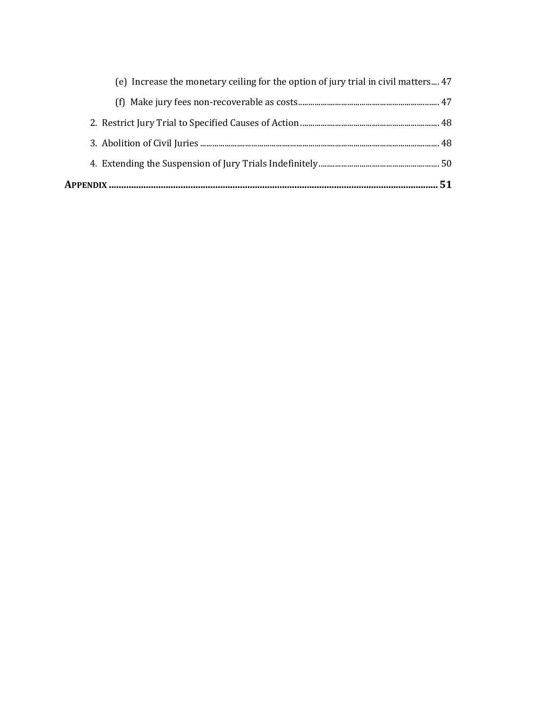| (e) Increase the monetary ceiling for the option of jury trial in civil matters 47 |  |
|------------------------------------------------------------------------------------|--|
|                                                                                    |  |
|                                                                                    |  |
|                                                                                    |  |
|                                                                                    |  |
|                                                                                    |  |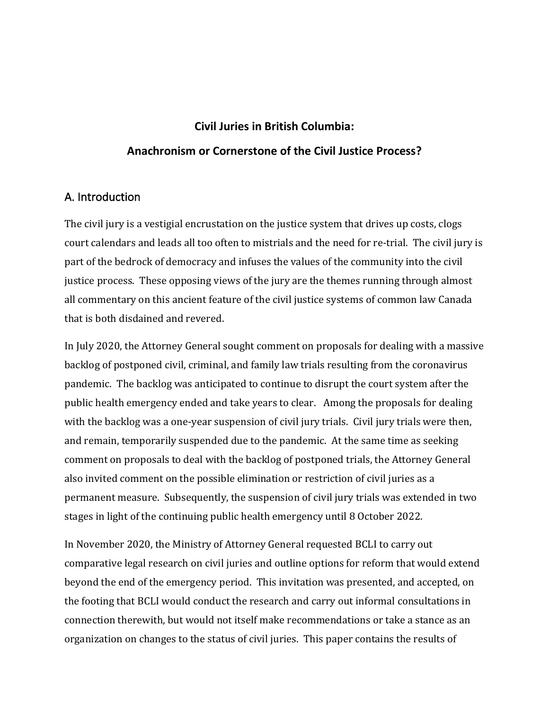# **Civil Juries in British Columbia:**

# **Anachronism or Cornerstone of the Civil Justice Process?**

# <span id="page-6-0"></span>A. Introduction

The civil jury is a vestigial encrustation on the justice system that drives up costs, clogs court calendars and leads all too often to mistrials and the need for re-trial. The civil jury is part of the bedrock of democracy and infuses the values of the community into the civil justice process. These opposing views of the jury are the themes running through almost all commentary on this ancient feature of the civil justice systems of common law Canada that is both disdained and revered.

In July 2020, the Attorney General sought comment on proposals for dealing with a massive backlog of postponed civil, criminal, and family law trials resulting from the coronavirus pandemic. The backlog was anticipated to continue to disrupt the court system after the public health emergency ended and take years to clear. Among the proposals for dealing with the backlog was a one-year suspension of civil jury trials. Civil jury trials were then, and remain, temporarily suspended due to the pandemic. At the same time as seeking comment on proposals to deal with the backlog of postponed trials, the Attorney General also invited comment on the possible elimination or restriction of civil juries as a permanent measure. Subsequently, the suspension of civil jury trials was extended in two stages in light of the continuing public health emergency until 8 October 2022.

In November 2020, the Ministry of Attorney General requested BCLI to carry out comparative legal research on civil juries and outline options for reform that would extend beyond the end of the emergency period. This invitation was presented, and accepted, on the footing that BCLI would conduct the research and carry out informal consultations in connection therewith, but would not itself make recommendations or take a stance as an organization on changes to the status of civil juries. This paper contains the results of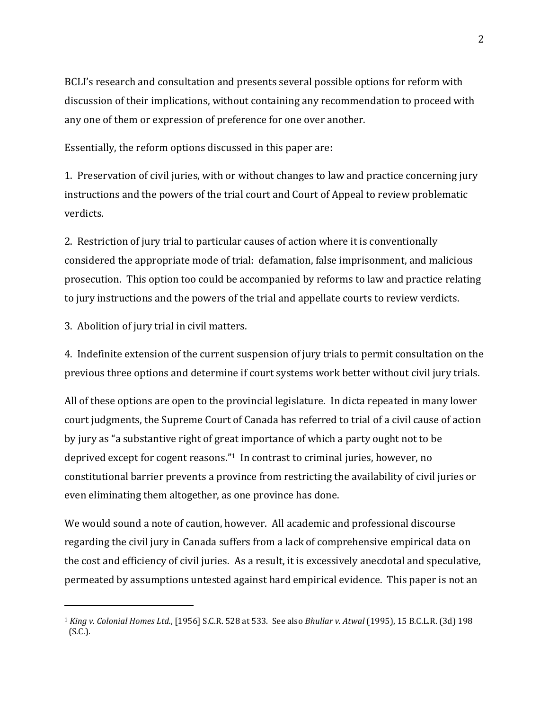BCLI's research and consultation and presents several possible options for reform with discussion of their implications, without containing any recommendation to proceed with any one of them or expression of preference for one over another.

Essentially, the reform options discussed in this paper are:

1. Preservation of civil juries, with or without changes to law and practice concerning jury instructions and the powers of the trial court and Court of Appeal to review problematic verdicts.

2. Restriction of jury trial to particular causes of action where it is conventionally considered the appropriate mode of trial: defamation, false imprisonment, and malicious prosecution. This option too could be accompanied by reforms to law and practice relating to jury instructions and the powers of the trial and appellate courts to review verdicts.

3. Abolition of jury trial in civil matters.

4. Indefinite extension of the current suspension of jury trials to permit consultation on the previous three options and determine if court systems work better without civil jury trials.

<span id="page-7-0"></span>All of these options are open to the provincial legislature. In dicta repeated in many lower court judgments, the Supreme Court of Canada has referred to trial of a civil cause of action by jury as "a substantive right of great importance of which a party ought not to be deprived except for cogent reasons." <sup>1</sup> In contrast to criminal juries, however, no constitutional barrier prevents a province from restricting the availability of civil juries or even eliminating them altogether, as one province has done.

We would sound a note of caution, however. All academic and professional discourse regarding the civil jury in Canada suffers from a lack of comprehensive empirical data on the cost and efficiency of civil juries. As a result, it is excessively anecdotal and speculative, permeated by assumptions untested against hard empirical evidence. This paper is not an

<sup>1</sup> *King v. Colonial Homes Ltd.*, [1956] S.C.R. 528 at 533. See also *Bhullar v. Atwal* (1995), 15 B.C.L.R. (3d) 198 (S.C.).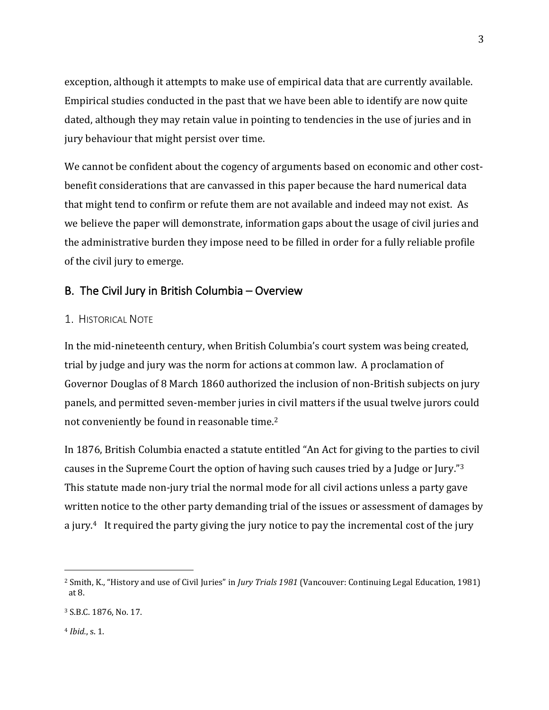exception, although it attempts to make use of empirical data that are currently available. Empirical studies conducted in the past that we have been able to identify are now quite dated, although they may retain value in pointing to tendencies in the use of juries and in jury behaviour that might persist over time.

We cannot be confident about the cogency of arguments based on economic and other costbenefit considerations that are canvassed in this paper because the hard numerical data that might tend to confirm or refute them are not available and indeed may not exist. As we believe the paper will demonstrate, information gaps about the usage of civil juries and the administrative burden they impose need to be filled in order for a fully reliable profile of the civil jury to emerge.

# <span id="page-8-0"></span>B. The Civil Jury in British Columbia – Overview

#### <span id="page-8-1"></span>1. HISTORICAL NOTE

In the mid-nineteenth century, when British Columbia's court system was being created, trial by judge and jury was the norm for actions at common law. A proclamation of Governor Douglas of 8 March 1860 authorized the inclusion of non-British subjects on jury panels, and permitted seven-member juries in civil matters if the usual twelve jurors could not conveniently be found in reasonable time.<sup>2</sup>

<span id="page-8-2"></span>In 1876, British Columbia enacted a statute entitled "An Act for giving to the parties to civil causes in the Supreme Court the option of having such causes tried by a Judge or Jury." 3 This statute made non-jury trial the normal mode for all civil actions unless a party gave written notice to the other party demanding trial of the issues or assessment of damages by a jury. <sup>4</sup> It required the party giving the jury notice to pay the incremental cost of the jury

<sup>4</sup> *Ibid.*, s. 1.

<sup>2</sup> Smith, K., "History and use of Civil Juries" in *Jury Trials 1981* (Vancouver: Continuing Legal Education, 1981) at 8.

<sup>3</sup> S.B.C. 1876, No. 17.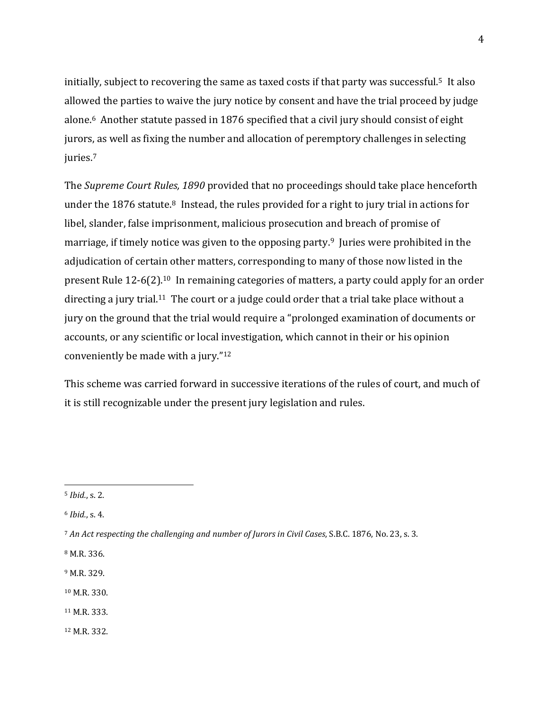initially, subject to recovering the same as taxed costs if that party was successful.5 It also allowed the parties to waive the jury notice by consent and have the trial proceed by judge alone.6 Another statute passed in 1876 specified that a civil jury should consist of eight jurors, as well as fixing the number and allocation of peremptory challenges in selecting juries.<sup>7</sup>

The *Supreme Court Rules, 1890* provided that no proceedings should take place henceforth under the 1876 statute. $8$  Instead, the rules provided for a right to jury trial in actions for libel, slander, false imprisonment, malicious prosecution and breach of promise of marriage, if timely notice was given to the opposing party.<sup>9</sup> Juries were prohibited in the adjudication of certain other matters, corresponding to many of those now listed in the present Rule 12-6(2).10 In remaining categories of matters, a party could apply for an order directing a jury trial.<sup>11</sup> The court or a judge could order that a trial take place without a jury on the ground that the trial would require a "prolonged examination of documents or accounts, or any scientific or local investigation, which cannot in their or his opinion conveniently be made with a jury."<sup>12</sup>

This scheme was carried forward in successive iterations of the rules of court, and much of it is still recognizable under the present jury legislation and rules.

<sup>9</sup> M.R. 329.

<sup>10</sup> M.R. 330.

<sup>11</sup> M.R. 333.

<sup>12</sup> M.R. 332.

<sup>5</sup> *Ibid.*, s. 2.

<sup>6</sup> *Ibid.*, s. 4.

<sup>7</sup> *An Act respecting the challenging and number of Jurors in Civil Cases*, S.B.C. 1876, No. 23, s. 3.

<sup>8</sup> M.R. 336.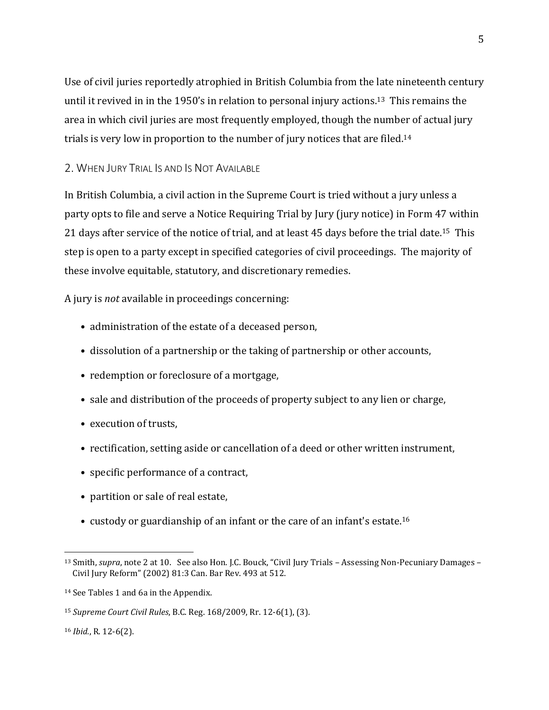Use of civil juries reportedly atrophied in British Columbia from the late nineteenth century until it revived in in the 1950's in relation to personal injury actions. <sup>13</sup> This remains the area in which civil juries are most frequently employed, though the number of actual jury trials is very low in proportion to the number of jury notices that are filed.<sup>14</sup>

# <span id="page-10-0"></span>2. WHEN JURY TRIAL IS AND IS NOT AVAILABLE

In British Columbia, a civil action in the Supreme Court is tried without a jury unless a party opts to file and serve a Notice Requiring Trial by Jury (jury notice) in Form 47 within 21 days after service of the notice of trial, and at least 45 days before the trial date.15 This step is open to a party except in specified categories of civil proceedings. The majority of these involve equitable, statutory, and discretionary remedies.

A jury is *not* available in proceedings concerning:

- <span id="page-10-1"></span>• administration of the estate of a deceased person,
- dissolution of a partnership or the taking of partnership or other accounts,
- redemption or foreclosure of a mortgage,
- sale and distribution of the proceeds of property subject to any lien or charge,
- execution of trusts,
- rectification, setting aside or cancellation of a deed or other written instrument,
- specific performance of a contract,
- partition or sale of real estate,
- custody or guardianship of an infant or the care of an infant's estate.<sup>16</sup>

<sup>13</sup> Smith, *supra*, note [2](#page-8-2) at 10. See also Hon. J.C. Bouck, "Civil Jury Trials – Assessing Non-Pecuniary Damages – Civil Jury Reform" (2002) 81:3 Can. Bar Rev. 493 at 512.

<sup>14</sup> See Tables 1 and 6a in the Appendix.

<sup>15</sup> *Supreme Court Civil Rules*, B.C. Reg. 168/2009, Rr. 12-6(1), (3).

<sup>16</sup> *Ibid.*, R. 12-6(2).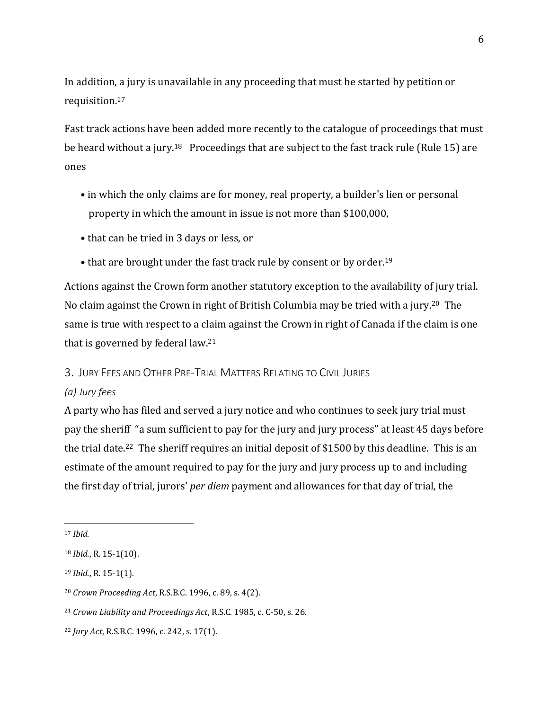In addition, a jury is unavailable in any proceeding that must be started by petition or requisition. 17

Fast track actions have been added more recently to the catalogue of proceedings that must be heard without a jury.<sup>18</sup> Proceedings that are subject to the fast track rule (Rule 15) are ones

- in which the only claims are for money, real property, a builder's lien or personal property in which the amount in issue is not more than \$100,000,
- that can be tried in 3 days or less, or
- that are brought under the fast track rule by consent or by order.<sup>19</sup>

Actions against the Crown form another statutory exception to the availability of jury trial. No claim against the Crown in right of British Columbia may be tried with a jury.20 The same is true with respect to a claim against the Crown in right of Canada if the claim is one that is governed by federal law.<sup>21</sup>

# <span id="page-11-3"></span><span id="page-11-0"></span>3. JURY FEES AND OTHER PRE-TRIAL MATTERS RELATING TO CIVIL JURIES

# <span id="page-11-1"></span>*(a) Jury fees*

<span id="page-11-2"></span>A party who has filed and served a jury notice and who continues to seek jury trial must pay the sheriff "a sum sufficient to pay for the jury and jury process" at least 45 days before the trial date.22 The sheriff requires an initial deposit of \$1500 by this deadline. This is an estimate of the amount required to pay for the jury and jury process up to and including the first day of trial, jurors' *per diem* payment and allowances for that day of trial, the

<sup>17</sup> *Ibid.*

<sup>18</sup> *Ibid.*, R. 15-1(10).

<sup>19</sup> *Ibid.*, R. 15-1(1).

<sup>20</sup> *Crown Proceeding Act*, R.S.B.C. 1996, c. 89, s. 4(2).

<sup>21</sup> *Crown Liability and Proceedings Act*, R.S.C. 1985, c. C-50, s. 26.

<sup>22</sup> *Jury Act*, R.S.B.C. 1996, c. 242, s. 17(1).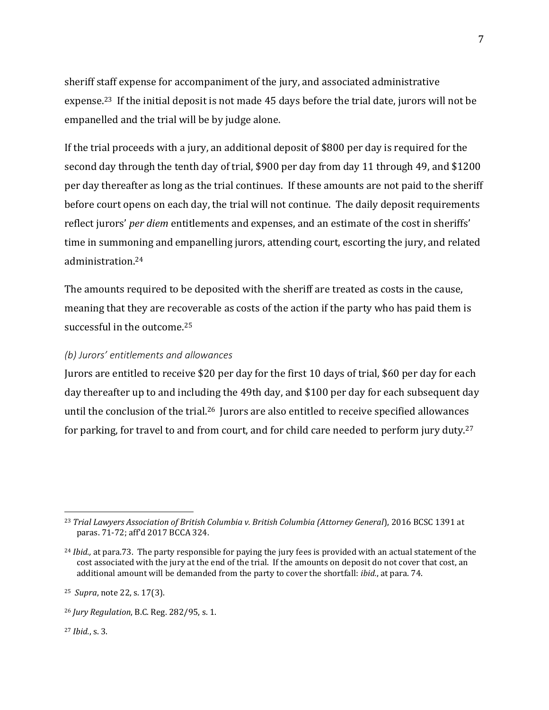sheriff staff expense for accompaniment of the jury, and associated administrative expense.23 If the initial deposit is not made 45 days before the trial date, jurors will not be empanelled and the trial will be by judge alone.

If the trial proceeds with a jury, an additional deposit of \$800 per day is required for the second day through the tenth day of trial, \$900 per day from day 11 through 49, and \$1200 per day thereafter as long as the trial continues. If these amounts are not paid to the sheriff before court opens on each day, the trial will not continue. The daily deposit requirements reflect jurors' *per diem* entitlements and expenses, and an estimate of the cost in sheriffs' time in summoning and empanelling jurors, attending court, escorting the jury, and related administration.<sup>24</sup>

The amounts required to be deposited with the sheriff are treated as costs in the cause, meaning that they are recoverable as costs of the action if the party who has paid them is successful in the outcome.<sup>25</sup>

#### <span id="page-12-0"></span>*(b) Jurors' entitlements and allowances*

Jurors are entitled to receive \$20 per day for the first 10 days of trial, \$60 per day for each day thereafter up to and including the 49th day, and \$100 per day for each subsequent day until the conclusion of the trial.<sup>26</sup> Jurors are also entitled to receive specified allowances for parking, for travel to and from court, and for child care needed to perform jury duty.<sup>27</sup>

<sup>27</sup> *Ibid.*, s. 3.

<sup>23</sup> *Trial Lawyers Association of British Columbia v. British Columbia (Attorney General*), 2016 BCSC 1391 at paras. 71-72; aff'd 2017 BCCA 324.

<sup>24</sup> *Ibid.,* at para.73. The party responsible for paying the jury fees is provided with an actual statement of the cost associated with the jury at the end of the trial. If the amounts on deposit do not cover that cost, an additional amount will be demanded from the party to cover the shortfall: *ibid.*, at para. 74.

<sup>25</sup> *Supra*, note [22,](#page-11-2) s. 17(3).

<sup>26</sup> *Jury Regulation*, B.C. Reg. 282/95, s. 1.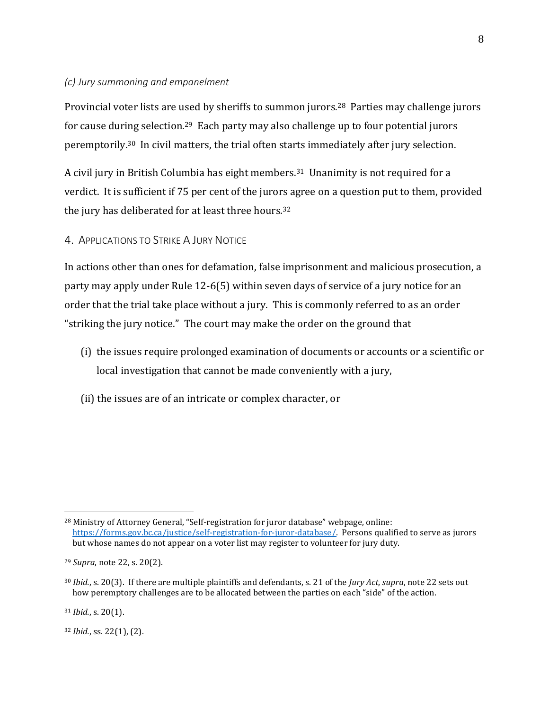#### <span id="page-13-0"></span>*(c) Jury summoning and empanelment*

Provincial voter lists are used by sheriffs to summon jurors.28 Parties may challenge jurors for cause during selection.29 Each party may also challenge up to four potential jurors peremptorily. <sup>30</sup> In civil matters, the trial often starts immediately after jury selection.

A civil jury in British Columbia has eight members.<sup>31</sup> Unanimity is not required for a verdict. It is sufficient if 75 per cent of the jurors agree on a question put to them, provided the jury has deliberated for at least three hours.<sup>32</sup>

#### <span id="page-13-1"></span>4. APPLICATIONS TO STRIKE A JURY NOTICE

In actions other than ones for defamation, false imprisonment and malicious prosecution, a party may apply under Rule 12-6(5) within seven days of service of a jury notice for an order that the trial take place without a jury. This is commonly referred to as an order "striking the jury notice." The court may make the order on the ground that

- (i) the issues require prolonged examination of documents or accounts or a scientific or local investigation that cannot be made conveniently with a jury,
- (ii) the issues are of an intricate or complex character, or

<sup>32</sup> *Ibid.*, ss. 22(1), (2).

<sup>&</sup>lt;sup>28</sup> Ministry of Attorney General, "Self-registration for juror database" webpage, online: [https://forms.gov.bc.ca/justice/self-registration-for-juror-database/.](https://forms.gov.bc.ca/justice/self-registration-for-juror-database/) Persons qualified to serve as jurors but whose names do not appear on a voter list may register to volunteer for jury duty.

<sup>29</sup> *Supra*, note [22,](#page-11-2) s. 20(2).

<sup>30</sup> *Ibid.*, s. 20(3). If there are multiple plaintiffs and defendants, s. 21 of the *Jury Act*, *supra*, note [22](#page-11-2) sets out how peremptory challenges are to be allocated between the parties on each "side" of the action.

<sup>31</sup> *Ibid.*, s. 20(1).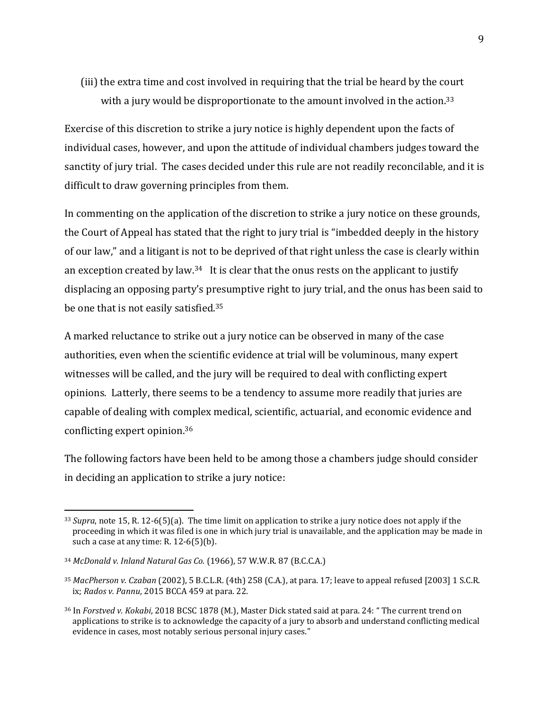(iii) the extra time and cost involved in requiring that the trial be heard by the court with a jury would be disproportionate to the amount involved in the action.<sup>33</sup>

Exercise of this discretion to strike a jury notice is highly dependent upon the facts of individual cases, however, and upon the attitude of individual chambers judges toward the sanctity of jury trial. The cases decided under this rule are not readily reconcilable, and it is difficult to draw governing principles from them.

In commenting on the application of the discretion to strike a jury notice on these grounds, the Court of Appeal has stated that the right to jury trial is "imbedded deeply in the history of our law," and a litigant is not to be deprived of that right unless the case is clearly within an exception created by law.<sup>34</sup> It is clear that the onus rests on the applicant to justify displacing an opposing party's presumptive right to jury trial, and the onus has been said to be one that is not easily satisfied. 35

A marked reluctance to strike out a jury notice can be observed in many of the case authorities, even when the scientific evidence at trial will be voluminous, many expert witnesses will be called, and the jury will be required to deal with conflicting expert opinions. Latterly, there seems to be a tendency to assume more readily that juries are capable of dealing with complex medical, scientific, actuarial, and economic evidence and conflicting expert opinion. 36

The following factors have been held to be among those a chambers judge should consider in deciding an application to strike a jury notice:

<sup>33</sup> *Supra*, note [15,](#page-10-1) R. 12-6(5)(a). The time limit on application to strike a jury notice does not apply if the proceeding in which it was filed is one in which jury trial is unavailable, and the application may be made in such a case at any time:  $R. 12-6(5)(b)$ .

<sup>34</sup> *McDonald v. Inland Natural Gas Co.* (1966), 57 W.W.R. 87 (B.C.C.A.)

<sup>35</sup> *MacPherson v. Czaban* (2002), 5 B.C.L.R. (4th) 258 (C.A.), at para. 17; leave to appeal refused [2003] 1 S.C.R. ix; *Rados v. Pannu*, 2015 BCCA 459 at para. 22.

<sup>36</sup> In *Forstved v. Kokabi*, 2018 BCSC 1878 (M.), Master Dick stated said at para. 24: " The current trend on applications to strike is to acknowledge the capacity of a jury to absorb and understand conflicting medical evidence in cases, most notably serious personal injury cases."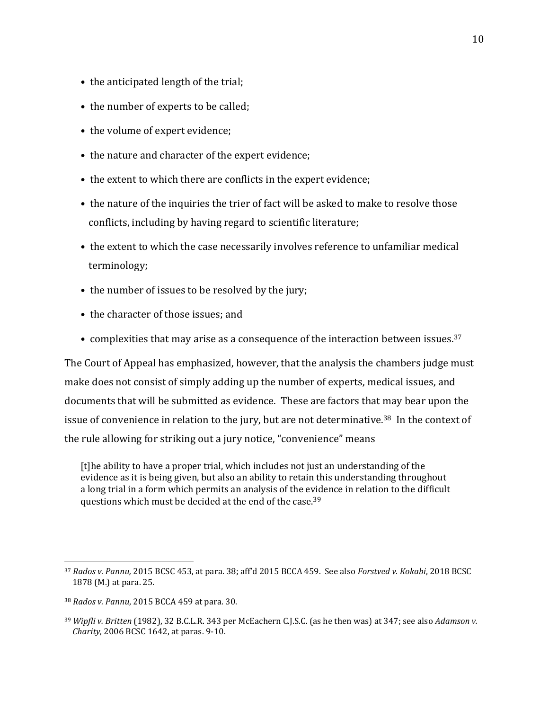- the anticipated length of the trial;
- the number of experts to be called;
- the volume of expert evidence;
- the nature and character of the expert evidence;
- the extent to which there are conflicts in the expert evidence;
- the nature of the inquiries the trier of fact will be asked to make to resolve those conflicts, including by having regard to scientific literature;
- the extent to which the case necessarily involves reference to unfamiliar medical terminology;
- the number of issues to be resolved by the jury;
- the character of those issues; and
- complexities that may arise as a consequence of the interaction between issues.<sup>37</sup>

The Court of Appeal has emphasized, however, that the analysis the chambers judge must make does not consist of simply adding up the number of experts, medical issues, and documents that will be submitted as evidence. These are factors that may bear upon the issue of convenience in relation to the jury, but are not determinative.<sup>38</sup> In the context of the rule allowing for striking out a jury notice, "convenience" means

[t]he ability to have a proper trial, which includes not just an understanding of the evidence as it is being given, but also an ability to retain this understanding throughout a long trial in a form which permits an analysis of the evidence in relation to the difficult questions which must be decided at the end of the case.<sup>39</sup>

<sup>37</sup> *Rados v. Pannu,* 2015 BCSC 453, at para. 38; aff'd 2015 BCCA 459. See also *Forstved v. Kokabi*, 2018 BCSC 1878 (M.) at para. 25.

<sup>38</sup> *Rados v. Pannu*, 2015 BCCA 459 at para. 30.

<sup>39</sup> *Wipfli v. Britten* (1982), 32 B.C.L.R. 343 per McEachern C.J.S.C. (as he then was) at 347; see also *Adamson v. Charity*, 2006 BCSC 1642, at paras. 9-10.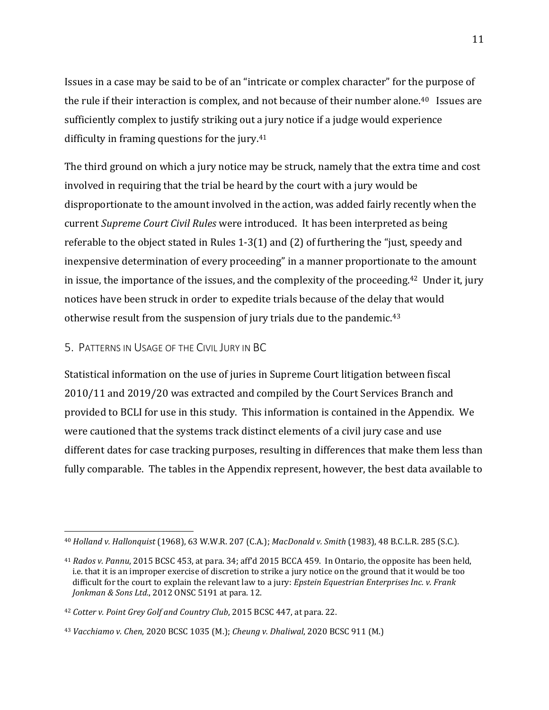Issues in a case may be said to be of an "intricate or complex character" for the purpose of the rule if their interaction is complex, and not because of their number alone.<sup>40</sup> Issues are sufficiently complex to justify striking out a jury notice if a judge would experience difficulty in framing questions for the jury.<sup>41</sup>

The third ground on which a jury notice may be struck, namely that the extra time and cost involved in requiring that the trial be heard by the court with a jury would be disproportionate to the amount involved in the action, was added fairly recently when the current *Supreme Court Civil Rules* were introduced. It has been interpreted as being referable to the object stated in Rules 1-3(1) and (2) of furthering the "just, speedy and inexpensive determination of every proceeding" in a manner proportionate to the amount in issue, the importance of the issues, and the complexity of the proceeding.<sup>42</sup> Under it, jury notices have been struck in order to expedite trials because of the delay that would otherwise result from the suspension of jury trials due to the pandemic.<sup>43</sup>

#### <span id="page-16-0"></span>5. PATTERNS IN USAGE OF THE CIVIL JURY IN BC

Statistical information on the use of juries in Supreme Court litigation between fiscal 2010/11 and 2019/20 was extracted and compiled by the Court Services Branch and provided to BCLI for use in this study. This information is contained in the Appendix. We were cautioned that the systems track distinct elements of a civil jury case and use different dates for case tracking purposes, resulting in differences that make them less than fully comparable. The tables in the Appendix represent, however, the best data available to

<sup>40</sup> *Holland v. Hallonquist* (1968), 63 W.W.R. 207 (C.A.); *MacDonald v. Smith* (1983), 48 B.C.L.R. 285 (S.C.).

<sup>41</sup> *Rados v. Pannu*, 2015 BCSC 453, at para. 34; aff'd 2015 BCCA 459. In Ontario, the opposite has been held, i.e. that it is an improper exercise of discretion to strike a jury notice on the ground that it would be too difficult for the court to explain the relevant law to a jury: *Epstein Equestrian Enterprises Inc. v. Frank Jonkman & Sons Ltd.*, 2012 ONSC 5191 at para. 12.

<sup>42</sup> *Cotter v. Point Grey Golf and Country Club*, 2015 BCSC 447, at para. 22.

<sup>43</sup> *Vacchiamo v. Chen*, 2020 BCSC 1035 (M.); *Cheung v. Dhaliwal*, 2020 BCSC 911 (M.)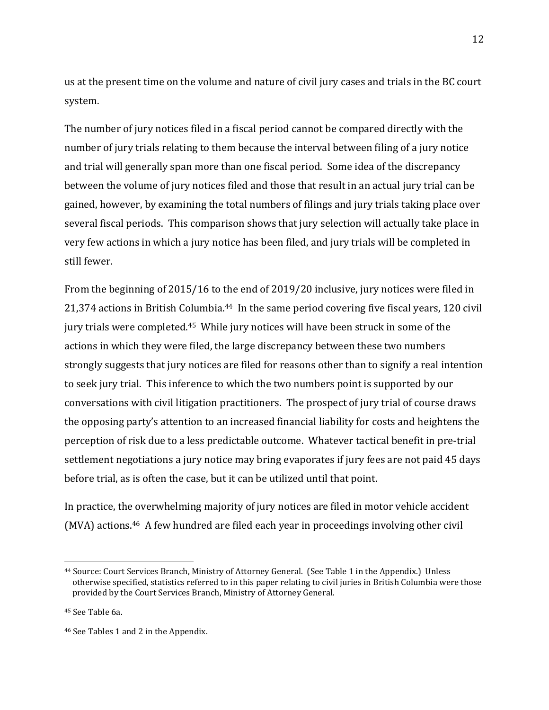us at the present time on the volume and nature of civil jury cases and trials in the BC court system.

The number of jury notices filed in a fiscal period cannot be compared directly with the number of jury trials relating to them because the interval between filing of a jury notice and trial will generally span more than one fiscal period. Some idea of the discrepancy between the volume of jury notices filed and those that result in an actual jury trial can be gained, however, by examining the total numbers of filings and jury trials taking place over several fiscal periods. This comparison shows that jury selection will actually take place in very few actions in which a jury notice has been filed, and jury trials will be completed in still fewer.

<span id="page-17-0"></span>From the beginning of 2015/16 to the end of 2019/20 inclusive, jury notices were filed in 21,374 actions in British Columbia.44 In the same period covering five fiscal years, 120 civil jury trials were completed.45 While jury notices will have been struck in some of the actions in which they were filed, the large discrepancy between these two numbers strongly suggests that jury notices are filed for reasons other than to signify a real intention to seek jury trial. This inference to which the two numbers point is supported by our conversations with civil litigation practitioners. The prospect of jury trial of course draws the opposing party's attention to an increased financial liability for costs and heightens the perception of risk due to a less predictable outcome. Whatever tactical benefit in pre-trial settlement negotiations a jury notice may bring evaporates if jury fees are not paid 45 days before trial, as is often the case, but it can be utilized until that point.

In practice, the overwhelming majority of jury notices are filed in motor vehicle accident (MVA) actions.46 A few hundred are filed each year in proceedings involving other civil

<sup>44</sup> Source: Court Services Branch, Ministry of Attorney General. (See Table 1 in the Appendix.) Unless otherwise specified, statistics referred to in this paper relating to civil juries in British Columbia were those provided by the Court Services Branch, Ministry of Attorney General.

<sup>45</sup> See Table 6a.

<sup>46</sup> See Tables 1 and 2 in the Appendix.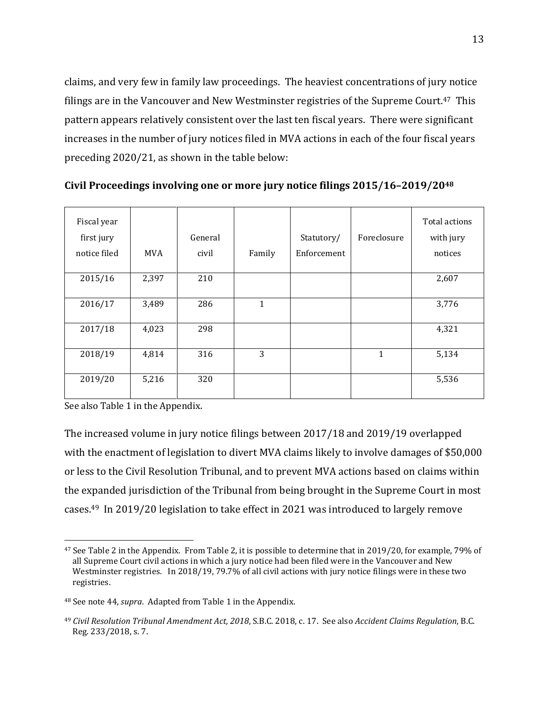claims, and very few in family law proceedings. The heaviest concentrations of jury notice filings are in the Vancouver and New Westminster registries of the Supreme Court.<sup>47</sup> This pattern appears relatively consistent over the last ten fiscal years. There were significant increases in the number of jury notices filed in MVA actions in each of the four fiscal years preceding 2020/21, as shown in the table below:

| Fiscal year<br>first jury<br>notice filed | <b>MVA</b> | General<br>civil | Family       | Statutory/<br>Enforcement | Foreclosure  | Total actions<br>with jury<br>notices |
|-------------------------------------------|------------|------------------|--------------|---------------------------|--------------|---------------------------------------|
| 2015/16                                   | 2,397      | 210              |              |                           |              | 2,607                                 |
| 2016/17                                   | 3,489      | 286              | $\mathbf{1}$ |                           |              | 3,776                                 |
| 2017/18                                   | 4,023      | 298              |              |                           |              | 4,321                                 |
| 2018/19                                   | 4,814      | 316              | 3            |                           | $\mathbf{1}$ | 5,134                                 |
| 2019/20                                   | 5,216      | 320              |              |                           |              | 5,536                                 |

**Civil Proceedings involving one or more jury notice filings 2015/16–2019/20<sup>48</sup>**

See also Table 1 in the Appendix.

The increased volume in jury notice filings between 2017/18 and 2019/19 overlapped with the enactment of legislation to divert MVA claims likely to involve damages of \$50,000 or less to the Civil Resolution Tribunal, and to prevent MVA actions based on claims within the expanded jurisdiction of the Tribunal from being brought in the Supreme Court in most cases. <sup>49</sup> In 2019/20 legislation to take effect in 2021 was introduced to largely remove

<sup>47</sup> See Table 2 in the Appendix. From Table 2, it is possible to determine that in 2019/20, for example, 79% of all Supreme Court civil actions in which a jury notice had been filed were in the Vancouver and New Westminster registries. In 2018/19, 79.7% of all civil actions with jury notice filings were in these two registries.

<sup>48</sup> See not[e 44,](#page-17-0) *supra*. Adapted from Table 1 in the Appendix.

<sup>49</sup> *Civil Resolution Tribunal Amendment Act, 2018*, S.B.C. 2018, c. 17. See also *Accident Claims Regulation*, B.C. Reg. 233/2018, s. 7.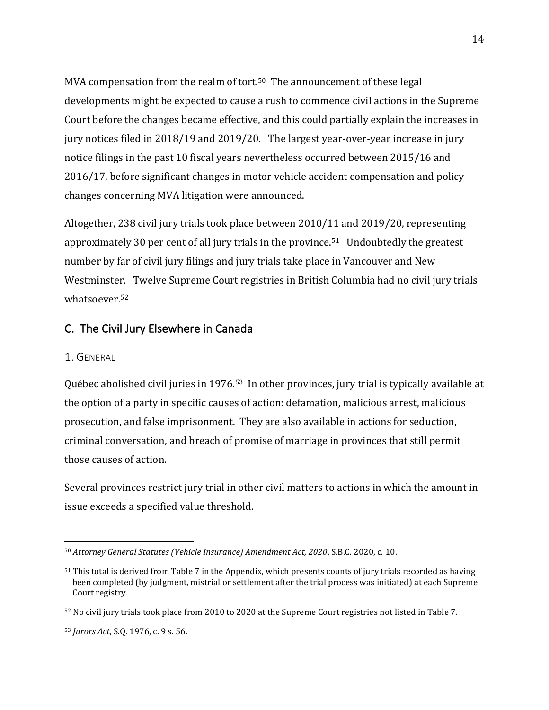MVA compensation from the realm of tort.<sup>50</sup> The announcement of these legal developments might be expected to cause a rush to commence civil actions in the Supreme Court before the changes became effective, and this could partially explain the increases in jury notices filed in 2018/19 and 2019/20. The largest year-over-year increase in jury notice filings in the past 10 fiscal years nevertheless occurred between 2015/16 and 2016/17, before significant changes in motor vehicle accident compensation and policy changes concerning MVA litigation were announced.

Altogether, 238 civil jury trials took place between 2010/11 and 2019/20, representing approximately 30 per cent of all jury trials in the province.51 Undoubtedly the greatest number by far of civil jury filings and jury trials take place in Vancouver and New Westminster. Twelve Supreme Court registries in British Columbia had no civil jury trials whatsoever.<sup>52</sup>

# <span id="page-19-0"></span>C. The Civil Jury Elsewhere in Canada

#### <span id="page-19-1"></span>1. GENERAL

Québec abolished civil juries in 1976.53 In other provinces, jury trial is typically available at the option of a party in specific causes of action: defamation, malicious arrest, malicious prosecution, and false imprisonment. They are also available in actions for seduction, criminal conversation, and breach of promise of marriage in provinces that still permit those causes of action.

Several provinces restrict jury trial in other civil matters to actions in which the amount in issue exceeds a specified value threshold.

<sup>50</sup> *Attorney General Statutes (Vehicle Insurance) Amendment Act, 2020*, S.B.C. 2020, c. 10.

<sup>&</sup>lt;sup>51</sup> This total is derived from Table 7 in the Appendix, which presents counts of jury trials recorded as having been completed (by judgment, mistrial or settlement after the trial process was initiated) at each Supreme Court registry.

<sup>52</sup> No civil jury trials took place from 2010 to 2020 at the Supreme Court registries not listed in Table 7.

<sup>53</sup> *Jurors Act*, S.Q. 1976, c. 9 s. 56.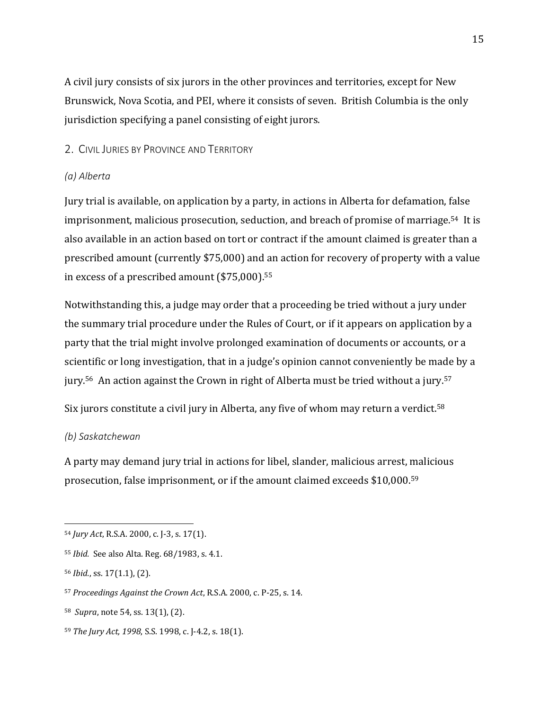A civil jury consists of six jurors in the other provinces and territories, except for New Brunswick, Nova Scotia, and PEI, where it consists of seven. British Columbia is the only jurisdiction specifying a panel consisting of eight jurors.

# <span id="page-20-0"></span>2. CIVIL JURIES BY PROVINCE AND TERRITORY

# <span id="page-20-1"></span>*(a) Alberta*

<span id="page-20-3"></span>Jury trial is available, on application by a party, in actions in Alberta for defamation, false imprisonment, malicious prosecution, seduction, and breach of promise of marriage.<sup>54</sup> It is also available in an action based on tort or contract if the amount claimed is greater than a prescribed amount (currently \$75,000) and an action for recovery of property with a value in excess of a prescribed amount (\$75,000).<sup>55</sup>

Notwithstanding this, a judge may order that a proceeding be tried without a jury under the summary trial procedure under the Rules of Court, or if it appears on application by a party that the trial might involve prolonged examination of documents or accounts, or a scientific or long investigation, that in a judge's opinion cannot conveniently be made by a jury.56 An action against the Crown in right of Alberta must be tried without a jury.<sup>57</sup>

Six jurors constitute a civil jury in Alberta, any five of whom may return a verdict.<sup>58</sup>

# <span id="page-20-2"></span>*(b) Saskatchewan*

<span id="page-20-4"></span>A party may demand jury trial in actions for libel, slander, malicious arrest, malicious prosecution, false imprisonment, or if the amount claimed exceeds \$10,000.<sup>59</sup>

<sup>54</sup> *Jury Act*, R.S.A. 2000, c. J-3, s. 17(1).

<sup>55</sup> *Ibid.* See also Alta. Reg. 68/1983, s. 4.1.

<sup>56</sup> *Ibid.*, ss. 17(1.1), (2).

<sup>57</sup> *Proceedings Against the Crown Act*, R.S.A. 2000, c. P-25, s. 14.

<sup>58</sup> *Supra*, note [54,](#page-20-3) ss. 13(1), (2).

<sup>59</sup> *The Jury Act, 1998*, S.S. 1998, c. J-4.2, s. 18(1).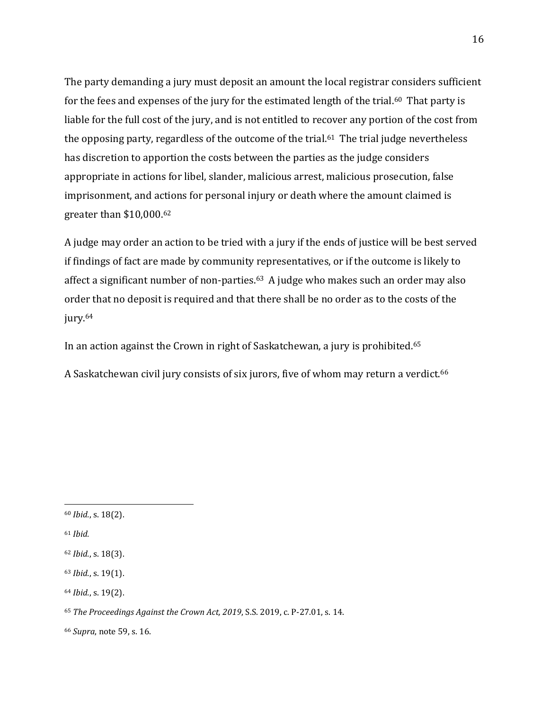The party demanding a jury must deposit an amount the local registrar considers sufficient for the fees and expenses of the jury for the estimated length of the trial.<sup>60</sup> That party is liable for the full cost of the jury, and is not entitled to recover any portion of the cost from the opposing party, regardless of the outcome of the trial.<sup>61</sup> The trial judge nevertheless has discretion to apportion the costs between the parties as the judge considers appropriate in actions for libel, slander, malicious arrest, malicious prosecution, false imprisonment, and actions for personal injury or death where the amount claimed is greater than \$10,000. 62

A judge may order an action to be tried with a jury if the ends of justice will be best served if findings of fact are made by community representatives, or if the outcome is likely to affect a significant number of non-parties.63 A judge who makes such an order may also order that no deposit is required and that there shall be no order as to the costs of the jury.<sup>64</sup>

In an action against the Crown in right of Saskatchewan, a jury is prohibited.<sup>65</sup>

A Saskatchewan civil jury consists of six jurors, five of whom may return a verdict.<sup>66</sup>

<sup>61</sup> *Ibid.*

<sup>60</sup> *Ibid.*, s. 18(2).

<sup>62</sup> *Ibid.*, s. 18(3).

<sup>63</sup> *Ibid.*, s. 19(1).

<sup>64</sup> *Ibid.*, s. 19(2).

<sup>65</sup> *The Proceedings Against the Crown Act, 2019*, S.S. 2019, c. P-27.01, s. 14.

<sup>66</sup> *Supra*, note [59,](#page-20-4) s. 16.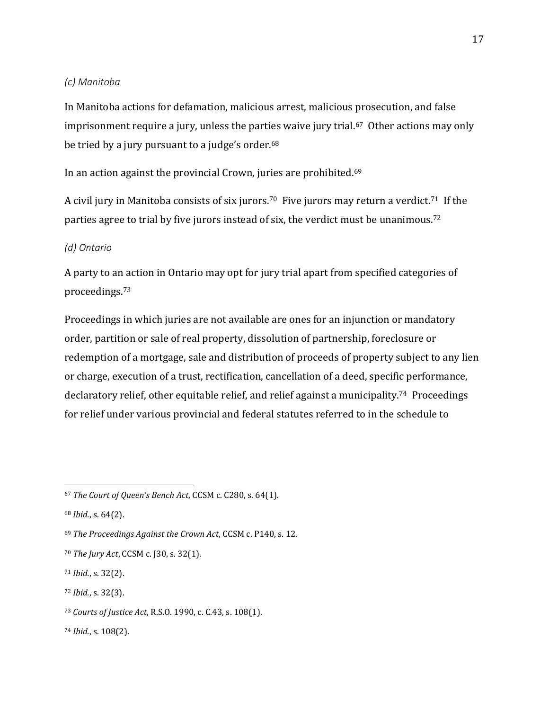#### <span id="page-22-0"></span>*(c) Manitoba*

In Manitoba actions for defamation, malicious arrest, malicious prosecution, and false imprisonment require a jury, unless the parties waive jury trial.<sup>67</sup> Other actions may only be tried by a jury pursuant to a judge's order.<sup>68</sup>

In an action against the provincial Crown, juries are prohibited.<sup>69</sup>

A civil jury in Manitoba consists of six jurors.<sup>70</sup> Five jurors may return a verdict.<sup>71</sup> If the parties agree to trial by five jurors instead of six, the verdict must be unanimous.<sup>72</sup>

#### <span id="page-22-1"></span>*(d) Ontario*

<span id="page-22-2"></span>A party to an action in Ontario may opt for jury trial apart from specified categories of proceedings.<sup>73</sup>

Proceedings in which juries are not available are ones for an injunction or mandatory order, partition or sale of real property, dissolution of partnership, foreclosure or redemption of a mortgage, sale and distribution of proceeds of property subject to any lien or charge, execution of a trust, rectification, cancellation of a deed, specific performance, declaratory relief, other equitable relief, and relief against a municipality. <sup>74</sup> Proceedings for relief under various provincial and federal statutes referred to in the schedule to

<sup>72</sup> *Ibid.*, s. 32(3).

<sup>74</sup> *Ibid.*, s. 108(2).

<sup>67</sup> *The Court of Queen's Bench Act*, CCSM c. C280, s. 64(1).

<sup>68</sup> *Ibid.*, s. 64(2).

<sup>69</sup> *The Proceedings Against the Crown Act*, CCSM c. P140, s. 12.

<sup>70</sup> *The Jury Act*, CCSM c. J30, s. 32(1).

<sup>71</sup> *Ibid.*, s. 32(2).

<sup>73</sup> *Courts of Justice Act*, R.S.O. 1990, c. C.43, s. 108(1).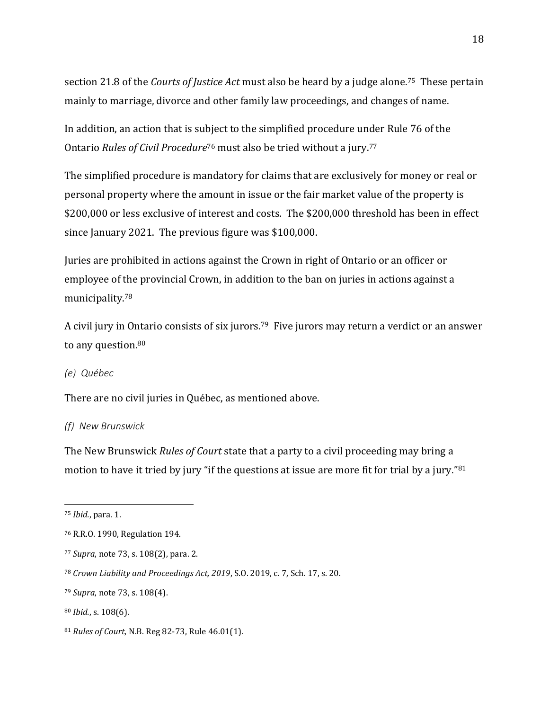section 21.8 of the *Courts of Justice Act* must also be heard by a judge alone.75 These pertain mainly to marriage, divorce and other family law proceedings, and changes of name.

<span id="page-23-2"></span>In addition, an action that is subject to the simplified procedure under Rule 76 of the Ontario *Rules of Civil Procedure*<sup>76</sup> must also be tried without a jury.<sup>77</sup>

The simplified procedure is mandatory for claims that are exclusively for money or real or personal property where the amount in issue or the fair market value of the property is \$200,000 or less exclusive of interest and costs. The \$200,000 threshold has been in effect since January 2021. The previous figure was \$100,000.

Juries are prohibited in actions against the Crown in right of Ontario or an officer or employee of the provincial Crown, in addition to the ban on juries in actions against a municipality.<sup>78</sup>

A civil jury in Ontario consists of six jurors.79 Five jurors may return a verdict or an answer to any question.<sup>80</sup>

<span id="page-23-0"></span>*(e) Québec*

There are no civil juries in Québec, as mentioned above.

#### <span id="page-23-1"></span>*(f) New Brunswick*

The New Brunswick *Rules of Court* state that a party to a civil proceeding may bring a motion to have it tried by jury "if the questions at issue are more fit for trial by a jury."<sup>81</sup>

<sup>75</sup> *Ibid.*, para. 1.

<sup>76</sup> R.R.O. 1990, Regulation 194.

<sup>77</sup> *Supra*, note [73,](#page-22-2) s. 108(2), para. 2.

<sup>78</sup> *Crown Liability and Proceedings Act, 2019*, S.O. 2019, c. 7, Sch. 17, s. 20.

<sup>79</sup> *Supra*, note [73,](#page-22-2) s. 108(4).

<sup>80</sup> *Ibid.*, s. 108(6).

<sup>81</sup> *Rules of Court*, N.B. Reg 82-73, Rule 46.01(1).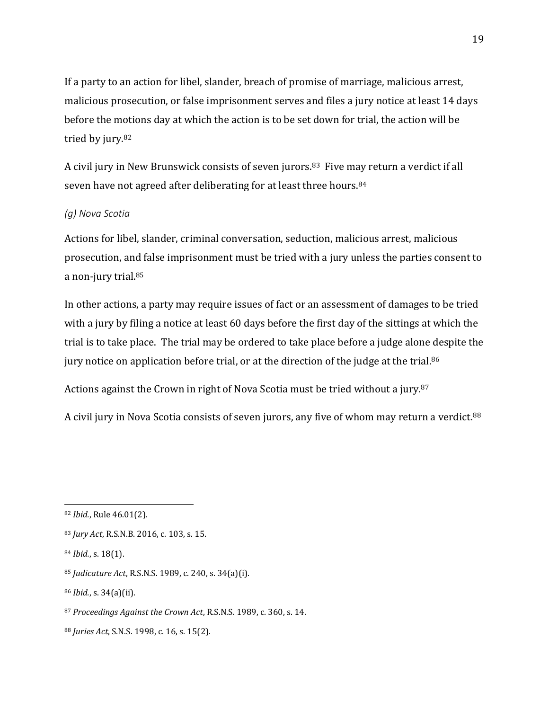If a party to an action for libel, slander, breach of promise of marriage, malicious arrest, malicious prosecution, or false imprisonment serves and files a jury notice at least 14 days before the motions day at which the action is to be set down for trial, the action will be tried by jury.<sup>82</sup>

A civil jury in New Brunswick consists of seven jurors.83 Five may return a verdict if all seven have not agreed after deliberating for at least three hours.<sup>84</sup>

# <span id="page-24-0"></span>*(g) Nova Scotia*

Actions for libel, slander, criminal conversation, seduction, malicious arrest, malicious prosecution, and false imprisonment must be tried with a jury unless the parties consent to a non-jury trial.<sup>85</sup>

In other actions, a party may require issues of fact or an assessment of damages to be tried with a jury by filing a notice at least 60 days before the first day of the sittings at which the trial is to take place. The trial may be ordered to take place before a judge alone despite the jury notice on application before trial, or at the direction of the judge at the trial.<sup>86</sup>

Actions against the Crown in right of Nova Scotia must be tried without a jury.<sup>87</sup>

A civil jury in Nova Scotia consists of seven jurors, any five of whom may return a verdict.<sup>88</sup>

<sup>82</sup> *Ibid.*, Rule 46.01(2).

<sup>83</sup> *Jury Act*, R.S.N.B. 2016, c. 103, s. 15.

<sup>84</sup> *Ibid.*, s. 18(1).

<sup>85</sup> *Judicature Act*, R.S.N.S. 1989, c. 240, s. 34(a)(i).

<sup>86</sup> *Ibid.*, s. 34(a)(ii).

<sup>87</sup> *Proceedings Against the Crown Act*, R.S.N.S. 1989, c. 360, s. 14.

<sup>88</sup> *Juries Act*, S.N.S. 1998, c. 16, s. 15(2).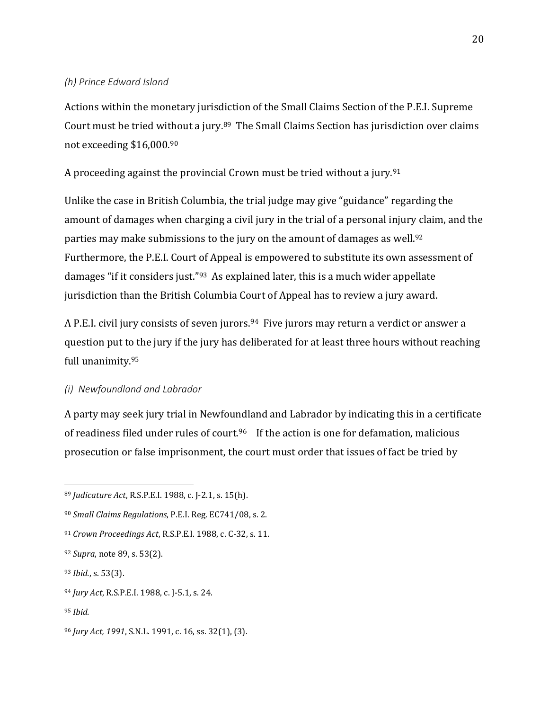#### <span id="page-25-0"></span>*(h) Prince Edward Island*

<span id="page-25-2"></span>Actions within the monetary jurisdiction of the Small Claims Section of the P.E.I. Supreme Court must be tried without a jury.89 The Small Claims Section has jurisdiction over claims not exceeding \$16,000.<sup>90</sup>

A proceeding against the provincial Crown must be tried without a jury.<sup>91</sup>

Unlike the case in British Columbia, the trial judge may give "guidance" regarding the amount of damages when charging a civil jury in the trial of a personal injury claim, and the parties may make submissions to the jury on the amount of damages as well.<sup>92</sup> Furthermore, the P.E.I. Court of Appeal is empowered to substitute its own assessment of damages "if it considers just."93 As explained later, this is a much wider appellate jurisdiction than the British Columbia Court of Appeal has to review a jury award.

A P.E.I. civil jury consists of seven jurors.<sup>94</sup> Five jurors may return a verdict or answer a question put to the jury if the jury has deliberated for at least three hours without reaching full unanimity.<sup>95</sup>

#### <span id="page-25-1"></span>*(i) Newfoundland and Labrador*

<span id="page-25-3"></span>A party may seek jury trial in Newfoundland and Labrador by indicating this in a certificate of readiness filed under rules of court.<sup>96</sup> If the action is one for defamation, malicious prosecution or false imprisonment, the court must order that issues of fact be tried by

<sup>89</sup> *Judicature Act*, R.S.P.E.I. 1988, c. J-2.1, s. 15(h).

<sup>90</sup> *Small Claims Regulations*, P.E.I. Reg. EC741/08, s. 2.

<sup>91</sup> *Crown Proceedings Act*, R.S.P.E.I. 1988, c. C-32, s. 11.

<sup>92</sup> *Supra*, note [89,](#page-25-2) s. 53(2).

<sup>93</sup> *Ibid.*, s. 53(3).

<sup>94</sup> *Jury Act*, R.S.P.E.I. 1988, c. J-5.1, s. 24.

<sup>95</sup> *Ibid.*

<sup>96</sup> *Jury Act, 1991*, S.N.L. 1991, c. 16, ss. 32(1), (3).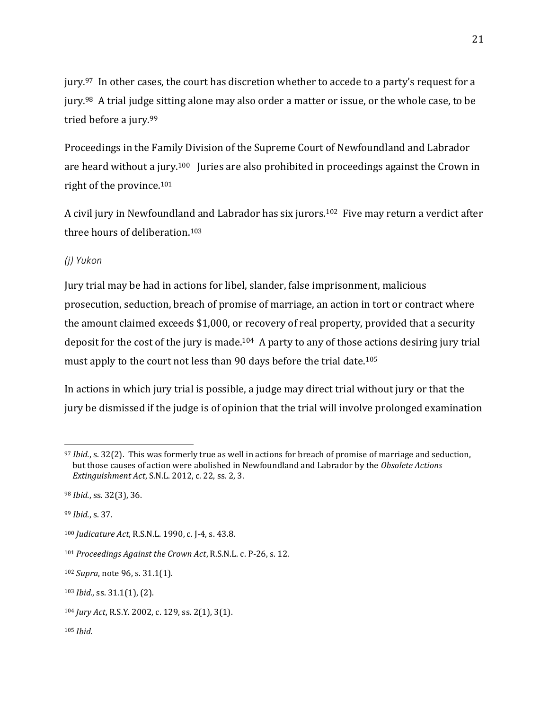jury.<sup>97</sup> In other cases, the court has discretion whether to accede to a party's request for a jury.98 A trial judge sitting alone may also order a matter or issue, or the whole case, to be tried before a jury.<sup>99</sup>

Proceedings in the Family Division of the Supreme Court of Newfoundland and Labrador are heard without a jury.<sup>100</sup> Juries are also prohibited in proceedings against the Crown in right of the province.<sup>101</sup>

A civil jury in Newfoundland and Labrador has six jurors.102 Five may return a verdict after three hours of deliberation.<sup>103</sup>

# <span id="page-26-0"></span>*(j) Yukon*

Jury trial may be had in actions for libel, slander, false imprisonment, malicious prosecution, seduction, breach of promise of marriage, an action in tort or contract where the amount claimed exceeds \$1,000, or recovery of real property, provided that a security deposit for the cost of the jury is made. <sup>104</sup> A party to any of those actions desiring jury trial must apply to the court not less than 90 days before the trial date.<sup>105</sup>

<span id="page-26-1"></span>In actions in which jury trial is possible, a judge may direct trial without jury or that the jury be dismissed if the judge is of opinion that the trial will involve prolonged examination

<sup>99</sup> *Ibid.*, s. 37.

<sup>100</sup> *Judicature Act*, R.S.N.L. 1990, c. J-4, s. 43.8.

<sup>97</sup> *Ibid.*, s. 32(2). This was formerly true as well in actions for breach of promise of marriage and seduction, but those causes of action were abolished in Newfoundland and Labrador by the *Obsolete Actions Extinguishment Act*, S.N.L. 2012, c. 22, ss. 2, 3.

<sup>98</sup> *Ibid.*, ss. 32(3), 36.

<sup>101</sup> *Proceedings Against the Crown Act*, R.S.N.L. c. P-26, s. 12.

<sup>102</sup> *Supra*, not[e 96,](#page-25-3) s. 31.1(1).

<sup>103</sup> *Ibid.*, ss. 31.1(1), (2).

<sup>104</sup> *Jury Act*, R.S.Y. 2002, c. 129, ss. 2(1), 3(1).

<sup>105</sup> *Ibid.*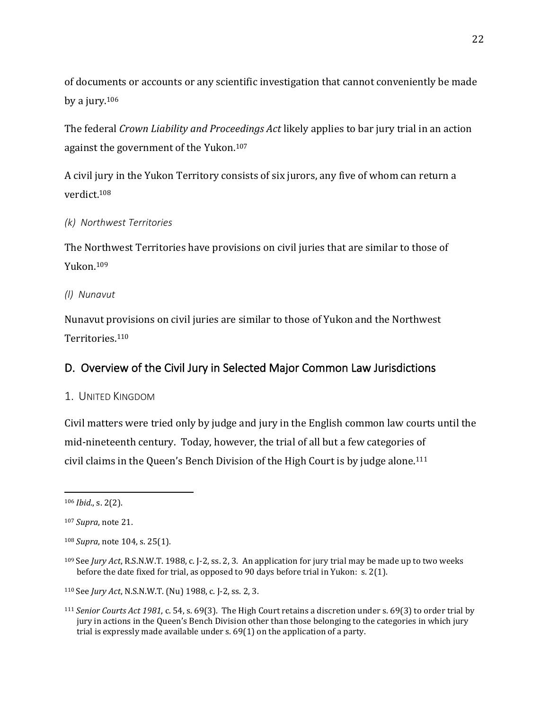of documents or accounts or any scientific investigation that cannot conveniently be made by a jury. 106

The federal *Crown Liability and Proceedings Act* likely applies to bar jury trial in an action against the government of the Yukon. 107

A civil jury in the Yukon Territory consists of six jurors, any five of whom can return a verdict.<sup>108</sup>

#### <span id="page-27-0"></span>*(k) Northwest Territories*

The Northwest Territories have provisions on civil juries that are similar to those of Yukon.<sup>109</sup>

#### <span id="page-27-1"></span>*(l) Nunavut*

Nunavut provisions on civil juries are similar to those of Yukon and the Northwest Territories.<sup>110</sup>

# <span id="page-27-2"></span>D. Overview of the Civil Jury in Selected Major Common Law Jurisdictions

#### <span id="page-27-3"></span>1. UNITED KINGDOM

Civil matters were tried only by judge and jury in the English common law courts until the mid-nineteenth century. Today, however, the trial of all but a few categories of civil claims in the Queen's Bench Division of the High Court is by judge alone.<sup>111</sup>

<sup>106</sup> *Ibid.*, s. 2(2).

<sup>107</sup> *Supra*, not[e 21.](#page-11-3) 

<sup>108</sup> *Supra*, not[e 104,](#page-26-1) s. 25(1).

<sup>109</sup> See *Jury Act*, R.S.N.W.T. 1988, c. J-2, ss. 2, 3. An application for jury trial may be made up to two weeks before the date fixed for trial, as opposed to 90 days before trial in Yukon: s. 2(1).

<sup>110</sup> See *Jury Act*, N.S.N.W.T. (Nu) 1988, c. J-2, ss. 2, 3.

<sup>111</sup> *Senior Courts Act 1981*, c. 54, s. 69(3). The High Court retains a discretion under s. 69(3) to order trial by jury in actions in the Queen's Bench Division other than those belonging to the categories in which jury trial is expressly made available under s. 69(1) on the application of a party.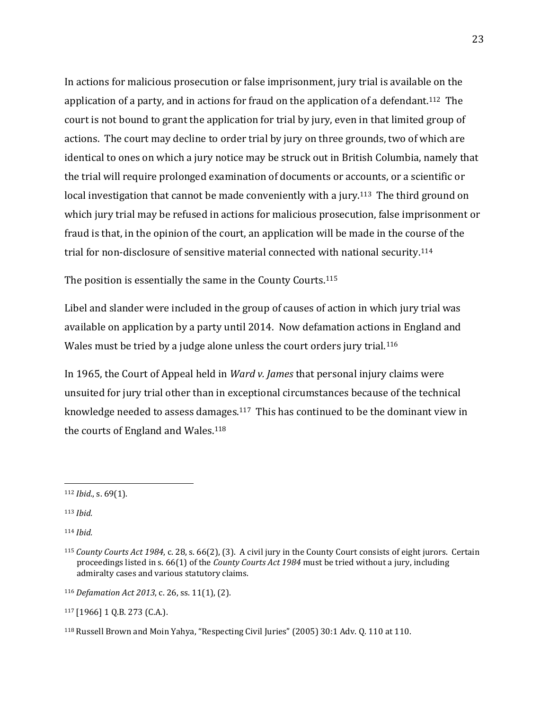In actions for malicious prosecution or false imprisonment, jury trial is available on the application of a party, and in actions for fraud on the application of a defendant.112 The court is not bound to grant the application for trial by jury, even in that limited group of actions. The court may decline to order trial by jury on three grounds, two of which are identical to ones on which a jury notice may be struck out in British Columbia, namely that the trial will require prolonged examination of documents or accounts, or a scientific or local investigation that cannot be made conveniently with a jury.<sup>113</sup> The third ground on which jury trial may be refused in actions for malicious prosecution, false imprisonment or fraud is that, in the opinion of the court, an application will be made in the course of the trial for non-disclosure of sensitive material connected with national security. 114

The position is essentially the same in the County Courts. 115

Libel and slander were included in the group of causes of action in which jury trial was available on application by a party until 2014. Now defamation actions in England and Wales must be tried by a judge alone unless the court orders jury trial.<sup>116</sup>

In 1965, the Court of Appeal held in *Ward v. James* that personal injury claims were unsuited for jury trial other than in exceptional circumstances because of the technical knowledge needed to assess damages.117 This has continued to be the dominant view in the courts of England and Wales.<sup>118</sup>

<sup>112</sup> *Ibid.*, s. 69(1).

<sup>113</sup> *Ibid.*

<sup>114</sup> *Ibid.*

<sup>115</sup> *County Courts Act 1984*, c. 28, s. 66(2), (3). A civil jury in the County Court consists of eight jurors. Certain proceedings listed in s. 66(1) of the *County Courts Act 1984* must be tried without a jury, including admiralty cases and various statutory claims.

<sup>116</sup> *Defamation Act 2013*, c. 26, ss. 11(1), (2).

<sup>117</sup> [1966] 1 Q.B. 273 (C.A.).

<sup>118</sup> Russell Brown and Moin Yahya, "Respecting Civil Juries" (2005) 30:1 Adv. Q. 110 at 110.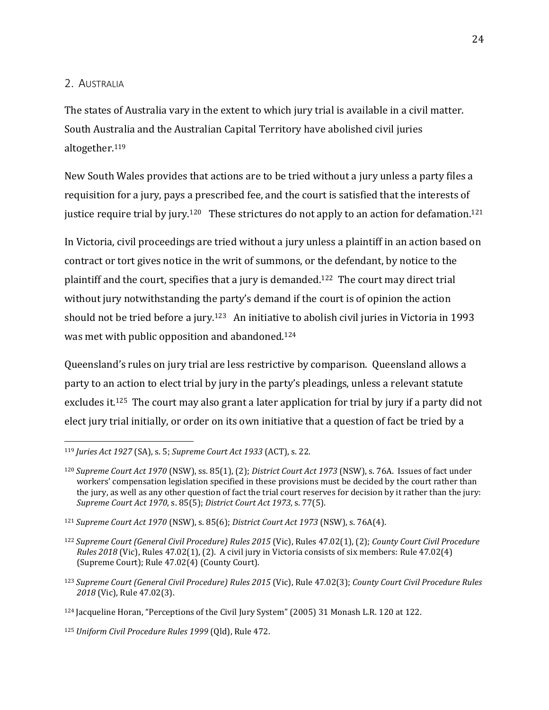#### <span id="page-29-0"></span>2. AUSTRALIA

The states of Australia vary in the extent to which jury trial is available in a civil matter. South Australia and the Australian Capital Territory have abolished civil juries altogether.<sup>119</sup>

New South Wales provides that actions are to be tried without a jury unless a party files a requisition for a jury, pays a prescribed fee, and the court is satisfied that the interests of justice require trial by jury.<sup>120</sup> These strictures do not apply to an action for defamation.<sup>121</sup>

In Victoria, civil proceedings are tried without a jury unless a plaintiff in an action based on contract or tort gives notice in the writ of summons, or the defendant, by notice to the plaintiff and the court, specifies that a jury is demanded.122 The court may direct trial without jury notwithstanding the party's demand if the court is of opinion the action should not be tried before a jury.123 An initiative to abolish civil juries in Victoria in 1993 was met with public opposition and abandoned.<sup>124</sup>

<span id="page-29-1"></span>Queensland's rules on jury trial are less restrictive by comparison. Queensland allows a party to an action to elect trial by jury in the party's pleadings, unless a relevant statute excludes it.<sup>125</sup> The court may also grant a later application for trial by jury if a party did not elect jury trial initially, or order on its own initiative that a question of fact be tried by a

<sup>119</sup> *Juries Act 1927* (SA), s. 5; *Supreme Court Act 1933* (ACT), s. 22.

<sup>120</sup> *Supreme Court Act 1970* (NSW), ss. 85(1), (2); *District Court Act 1973* (NSW), s. 76A. Issues of fact under workers' compensation legislation specified in these provisions must be decided by the court rather than the jury, as well as any other question of fact the trial court reserves for decision by it rather than the jury: *Supreme Court Act 1970*, s. 85(5); *District Court Act 1973*, s. 77(5).

<sup>121</sup> *Supreme Court Act 1970* (NSW), s. 85(6); *District Court Act 1973* (NSW), s. 76A(4).

<sup>122</sup> *Supreme Court (General Civil Procedure) Rules 2015* (Vic), Rules 47.02(1), (2); *County Court Civil Procedure Rules 2018* (Vic), Rules 47.02(1), (2). A civil jury in Victoria consists of six members: Rule 47.02(4) (Supreme Court); Rule 47.02(4) (County Court).

<sup>123</sup> *Supreme Court (General Civil Procedure) Rules 2015* (Vic), Rule 47.02(3); *County Court Civil Procedure Rules 2018* (Vic), Rule 47.02(3).

<sup>124</sup> Jacqueline Horan, "Perceptions of the Civil Jury System" (2005) 31 Monash L.R. 120 at 122.

<sup>125</sup> *Uniform Civil Procedure Rules 1999* (Qld), Rule 472.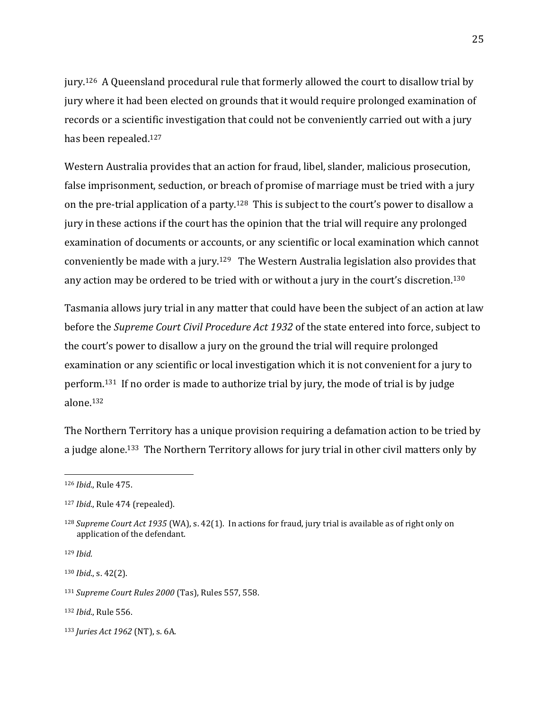jury.126 A Queensland procedural rule that formerly allowed the court to disallow trial by jury where it had been elected on grounds that it would require prolonged examination of records or a scientific investigation that could not be conveniently carried out with a jury has been repealed.<sup>127</sup>

Western Australia provides that an action for fraud, libel, slander, malicious prosecution, false imprisonment, seduction, or breach of promise of marriage must be tried with a jury on the pre-trial application of a party.<sup>128</sup> This is subject to the court's power to disallow a jury in these actions if the court has the opinion that the trial will require any prolonged examination of documents or accounts, or any scientific or local examination which cannot conveniently be made with a jury.<sup>129</sup> The Western Australia legislation also provides that any action may be ordered to be tried with or without a jury in the court's discretion.<sup>130</sup>

Tasmania allows jury trial in any matter that could have been the subject of an action at law before the *Supreme Court Civil Procedure Act 1932* of the state entered into force, subject to the court's power to disallow a jury on the ground the trial will require prolonged examination or any scientific or local investigation which it is not convenient for a jury to perform.131 If no order is made to authorize trial by jury, the mode of trial is by judge alone.<sup>132</sup>

The Northern Territory has a unique provision requiring a defamation action to be tried by a judge alone.<sup>133</sup> The Northern Territory allows for jury trial in other civil matters only by

<sup>130</sup> *Ibid.*, s. 42(2).

<sup>126</sup> *Ibid.*, Rule 475.

<sup>127</sup> *Ibid.*, Rule 474 (repealed).

<sup>128</sup> *Supreme Court Act 1935* (WA), s. 42(1). In actions for fraud, jury trial is available as of right only on application of the defendant.

<sup>129</sup> *Ibid.*

<sup>131</sup> *Supreme Court Rules 2000* (Tas), Rules 557, 558.

<sup>132</sup> *Ibid.*, Rule 556.

<sup>133</sup> *Juries Act 1962* (NT), s. 6A.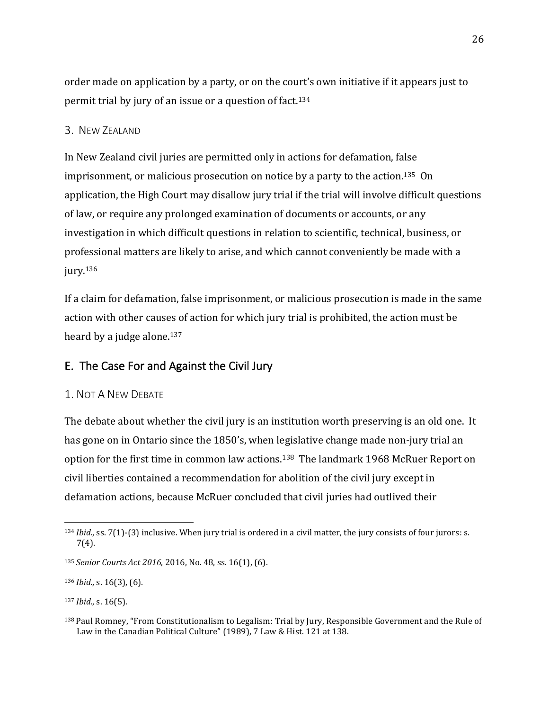order made on application by a party, or on the court's own initiative if it appears just to permit trial by jury of an issue or a question of fact.<sup>134</sup>

#### <span id="page-31-0"></span>3. NEW ZEALAND

In New Zealand civil juries are permitted only in actions for defamation, false imprisonment, or malicious prosecution on notice by a party to the action.135 On application, the High Court may disallow jury trial if the trial will involve difficult questions of law, or require any prolonged examination of documents or accounts, or any investigation in which difficult questions in relation to scientific, technical, business, or professional matters are likely to arise, and which cannot conveniently be made with a jury. 136

If a claim for defamation, false imprisonment, or malicious prosecution is made in the same action with other causes of action for which jury trial is prohibited, the action must be heard by a judge alone.<sup>137</sup>

# <span id="page-31-1"></span>E. The Case For and Against the Civil Jury

#### <span id="page-31-2"></span>1. NOT A NEW DEBATE

The debate about whether the civil jury is an institution worth preserving is an old one. It has gone on in Ontario since the 1850's, when legislative change made non-jury trial an option for the first time in common law actions.<sup>138</sup> The landmark 1968 McRuer Report on civil liberties contained a recommendation for abolition of the civil jury except in defamation actions, because McRuer concluded that civil juries had outlived their

<sup>134</sup> *Ibid.*, ss. 7(1)-(3) inclusive. When jury trial is ordered in a civil matter, the jury consists of four jurors: s. 7(4).

<sup>135</sup> *Senior Courts Act 2016*, 2016, No. 48, ss. 16(1), (6).

<sup>136</sup> *Ibid.*, s. 16(3), (6).

<sup>137</sup> *Ibid.*, s. 16(5).

<sup>138</sup> Paul Romney, "From Constitutionalism to Legalism: Trial by Jury, Responsible Government and the Rule of Law in the Canadian Political Culture" (1989), 7 Law & Hist. 121 at 138.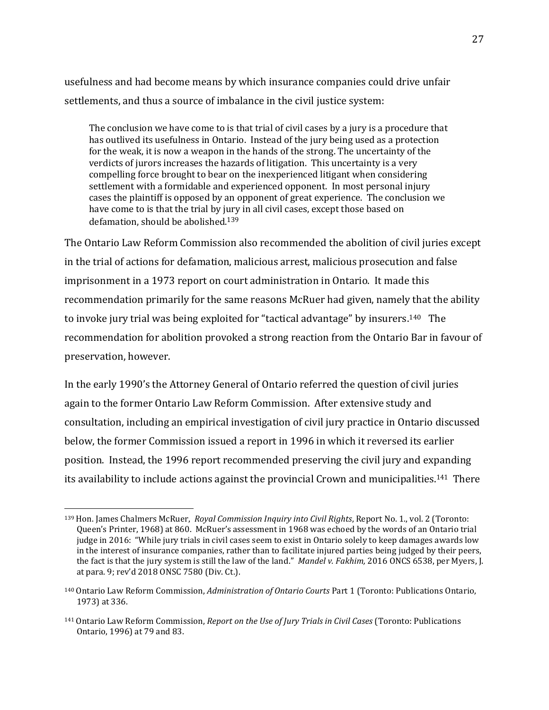usefulness and had become means by which insurance companies could drive unfair settlements, and thus a source of imbalance in the civil justice system:

The conclusion we have come to is that trial of civil cases by a jury is a procedure that has outlived its usefulness in Ontario. Instead of the jury being used as a protection for the weak, it is now a weapon in the hands of the strong. The uncertainty of the verdicts of jurors increases the hazards of litigation. This uncertainty is a very compelling force brought to bear on the inexperienced litigant when considering settlement with a formidable and experienced opponent. In most personal injury cases the plaintiff is opposed by an opponent of great experience. The conclusion we have come to is that the trial by jury in all civil cases, except those based on defamation, should be abolished.<sup>139</sup>

The Ontario Law Reform Commission also recommended the abolition of civil juries except in the trial of actions for defamation, malicious arrest, malicious prosecution and false imprisonment in a 1973 report on court administration in Ontario. It made this recommendation primarily for the same reasons McRuer had given, namely that the ability to invoke jury trial was being exploited for "tactical advantage" by insurers.<sup>140</sup> The recommendation for abolition provoked a strong reaction from the Ontario Bar in favour of preservation, however.

In the early 1990's the Attorney General of Ontario referred the question of civil juries again to the former Ontario Law Reform Commission. After extensive study and consultation, including an empirical investigation of civil jury practice in Ontario discussed below, the former Commission issued a report in 1996 in which it reversed its earlier position. Instead, the 1996 report recommended preserving the civil jury and expanding its availability to include actions against the provincial Crown and municipalities. <sup>141</sup> There

<span id="page-32-0"></span><sup>139</sup> Hon. James Chalmers McRuer, *Royal Commission Inquiry into Civil Rights*, Report No. 1., vol. 2 (Toronto: Queen's Printer, 1968) at 860. McRuer's assessment in 1968 was echoed by the words of an Ontario trial judge in 2016: "While jury trials in civil cases seem to exist in Ontario solely to keep damages awards low in the interest of insurance companies, rather than to facilitate injured parties being judged by their peers, the fact is that the jury system is still the law of the land." *Mandel v. Fakhim,* 2016 ONCS 6538, per Myers, J. at para. 9; rev'd 2018 ONSC 7580 (Div. Ct.).

<sup>140</sup> Ontario Law Reform Commission, *Administration of Ontario Courts* Part 1 (Toronto: Publications Ontario, 1973) at 336.

<sup>141</sup> Ontario Law Reform Commission, *Report on the Use of Jury Trials in Civil Cases* (Toronto: Publications Ontario, 1996) at 79 and 83.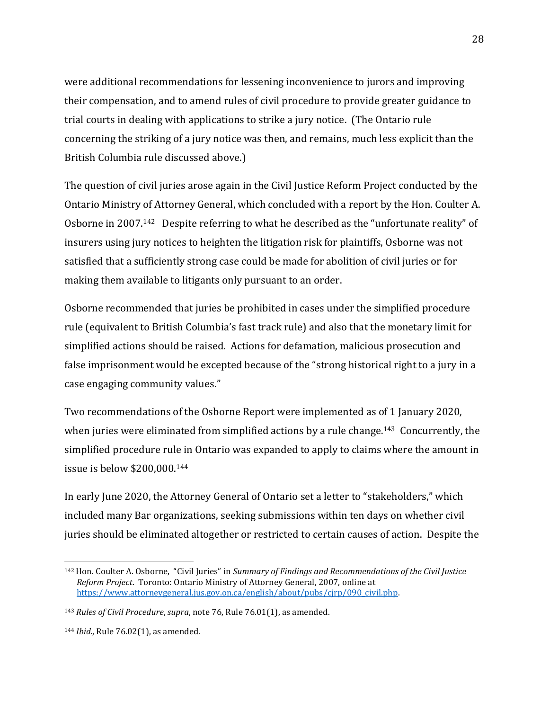were additional recommendations for lessening inconvenience to jurors and improving their compensation, and to amend rules of civil procedure to provide greater guidance to trial courts in dealing with applications to strike a jury notice. (The Ontario rule concerning the striking of a jury notice was then, and remains, much less explicit than the British Columbia rule discussed above.)

The question of civil juries arose again in the Civil Justice Reform Project conducted by the Ontario Ministry of Attorney General, which concluded with a report by the Hon. Coulter A. Osborne in 2007.<sup>142</sup> Despite referring to what he described as the "unfortunate reality" of insurers using jury notices to heighten the litigation risk for plaintiffs, Osborne was not satisfied that a sufficiently strong case could be made for abolition of civil juries or for making them available to litigants only pursuant to an order.

Osborne recommended that juries be prohibited in cases under the simplified procedure rule (equivalent to British Columbia's fast track rule) and also that the monetary limit for simplified actions should be raised. Actions for defamation, malicious prosecution and false imprisonment would be excepted because of the "strong historical right to a jury in a case engaging community values."

Two recommendations of the Osborne Report were implemented as of 1 January 2020, when juries were eliminated from simplified actions by a rule change.<sup>143</sup> Concurrently, the simplified procedure rule in Ontario was expanded to apply to claims where the amount in issue is below \$200,000.<sup>144</sup>

In early June 2020, the Attorney General of Ontario set a letter to "stakeholders," which included many Bar organizations, seeking submissions within ten days on whether civil juries should be eliminated altogether or restricted to certain causes of action. Despite the

<sup>142</sup> Hon. Coulter A. Osborne, "Civil Juries" in *Summary of Findings and Recommendations of the Civil Justice Reform Project*. Toronto: Ontario Ministry of Attorney General, 2007, online at [https://www.attorneygeneral.jus.gov.on.ca/english/about/pubs/cjrp/090\\_civil.php.](https://www.attorneygeneral.jus.gov.on.ca/english/about/pubs/cjrp/090_civil.php)

<sup>143</sup> *Rules of Civil Procedure*, *supra*, not[e 76,](#page-23-2) Rule 76.01(1), as amended.

<sup>144</sup> *Ibid.*, Rule 76.02(1), as amended.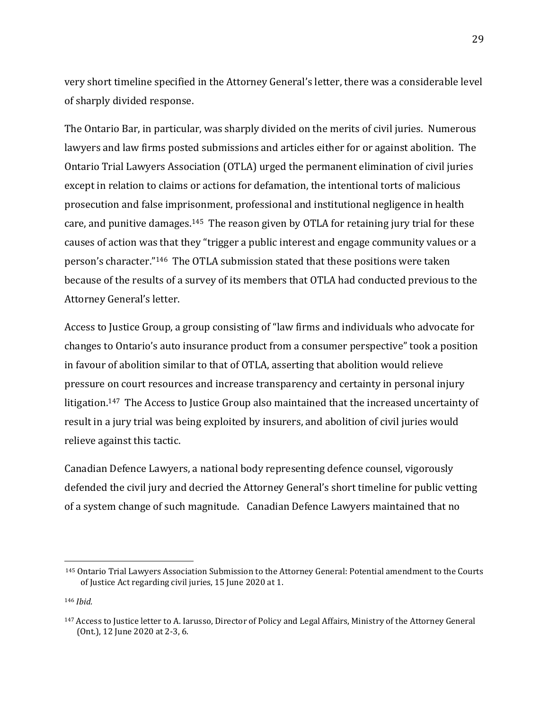very short timeline specified in the Attorney General's letter, there was a considerable level of sharply divided response.

The Ontario Bar, in particular, was sharply divided on the merits of civil juries. Numerous lawyers and law firms posted submissions and articles either for or against abolition. The Ontario Trial Lawyers Association (OTLA) urged the permanent elimination of civil juries except in relation to claims or actions for defamation, the intentional torts of malicious prosecution and false imprisonment, professional and institutional negligence in health care, and punitive damages.145 The reason given by OTLA for retaining jury trial for these causes of action was that they "trigger a public interest and engage community values or a person's character."146 The OTLA submission stated that these positions were taken because of the results of a survey of its members that OTLA had conducted previous to the Attorney General's letter.

Access to Justice Group, a group consisting of "law firms and individuals who advocate for changes to Ontario's auto insurance product from a consumer perspective" took a position in favour of abolition similar to that of OTLA, asserting that abolition would relieve pressure on court resources and increase transparency and certainty in personal injury litigation.<sup>147</sup> The Access to Justice Group also maintained that the increased uncertainty of result in a jury trial was being exploited by insurers, and abolition of civil juries would relieve against this tactic.

Canadian Defence Lawyers, a national body representing defence counsel, vigorously defended the civil jury and decried the Attorney General's short timeline for public vetting of a system change of such magnitude. Canadian Defence Lawyers maintained that no

<sup>145</sup> Ontario Trial Lawyers Association Submission to the Attorney General: Potential amendment to the Courts of Justice Act regarding civil juries, 15 June 2020 at 1.

<sup>146</sup> *Ibid.*

<sup>147</sup> Access to Justice letter to A. Iarusso, Director of Policy and Legal Affairs, Ministry of the Attorney General (Ont.), 12 June 2020 at 2-3, 6.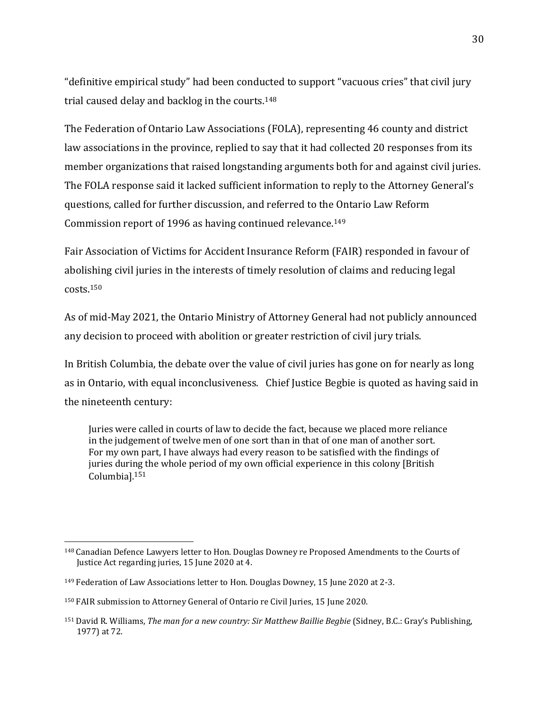"definitive empirical study" had been conducted to support "vacuous cries" that civil jury trial caused delay and backlog in the courts. 148

The Federation of Ontario Law Associations (FOLA), representing 46 county and district law associations in the province, replied to say that it had collected 20 responses from its member organizations that raised longstanding arguments both for and against civil juries. The FOLA response said it lacked sufficient information to reply to the Attorney General's questions, called for further discussion, and referred to the Ontario Law Reform Commission report of 1996 as having continued relevance.<sup>149</sup>

Fair Association of Victims for Accident Insurance Reform (FAIR) responded in favour of abolishing civil juries in the interests of timely resolution of claims and reducing legal costs. 150

As of mid-May 2021, the Ontario Ministry of Attorney General had not publicly announced any decision to proceed with abolition or greater restriction of civil jury trials.

In British Columbia, the debate over the value of civil juries has gone on for nearly as long as in Ontario, with equal inconclusiveness. Chief Justice Begbie is quoted as having said in the nineteenth century:

Juries were called in courts of law to decide the fact, because we placed more reliance in the judgement of twelve men of one sort than in that of one man of another sort. For my own part, I have always had every reason to be satisfied with the findings of juries during the whole period of my own official experience in this colony [British Columbia].<sup>151</sup>

<sup>148</sup> Canadian Defence Lawyers letter to Hon. Douglas Downey re Proposed Amendments to the Courts of Justice Act regarding juries, 15 June 2020 at 4.

<sup>149</sup> Federation of Law Associations letter to Hon. Douglas Downey, 15 June 2020 at 2-3.

<sup>150</sup> FAIR submission to Attorney General of Ontario re Civil Juries, 15 June 2020.

<sup>151</sup> David R. Williams, *The man for a new country: Sir Matthew Baillie Begbie* (Sidney, B.C.: Gray's Publishing, 1977) at 72.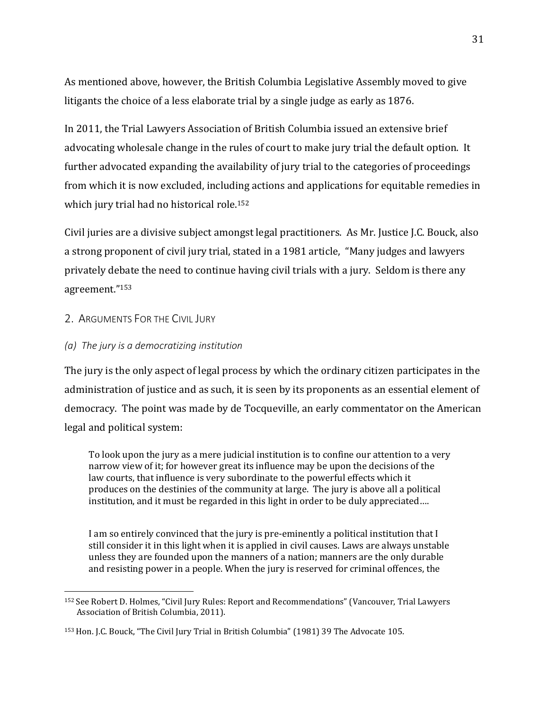As mentioned above, however, the British Columbia Legislative Assembly moved to give litigants the choice of a less elaborate trial by a single judge as early as 1876.

In 2011, the Trial Lawyers Association of British Columbia issued an extensive brief advocating wholesale change in the rules of court to make jury trial the default option. It further advocated expanding the availability of jury trial to the categories of proceedings from which it is now excluded, including actions and applications for equitable remedies in which jury trial had no historical role.<sup>152</sup>

<span id="page-36-3"></span>Civil juries are a divisive subject amongst legal practitioners. As Mr. Justice J.C. Bouck, also a strong proponent of civil jury trial, stated in a 1981 article, "Many judges and lawyers privately debate the need to continue having civil trials with a jury. Seldom is there any agreement."<sup>153</sup>

#### <span id="page-36-2"></span><span id="page-36-0"></span>2. ARGUMENTS FOR THE CIVIL JURY

#### <span id="page-36-1"></span>*(a) The jury is a democratizing institution*

The jury is the only aspect of legal process by which the ordinary citizen participates in the administration of justice and as such, it is seen by its proponents as an essential element of democracy. The point was made by de Tocqueville, an early commentator on the American legal and political system:

To look upon the jury as a mere judicial institution is to confine our attention to a very narrow view of it; for however great its influence may be upon the decisions of the law courts, that influence is very subordinate to the powerful effects which it produces on the destinies of the community at large. The jury is above all a political institution, and it must be regarded in this light in order to be duly appreciated….

I am so entirely convinced that the jury is pre-eminently a political institution that I still consider it in this light when it is applied in civil causes. Laws are always unstable unless they are founded upon the manners of a nation; manners are the only durable and resisting power in a people. When the jury is reserved for criminal offences, the

<sup>152</sup> See Robert D. Holmes, "Civil Jury Rules: Report and Recommendations" (Vancouver, Trial Lawyers Association of British Columbia, 2011).

<sup>153</sup> Hon. J.C. Bouck, "The Civil Jury Trial in British Columbia" (1981) 39 The Advocate 105.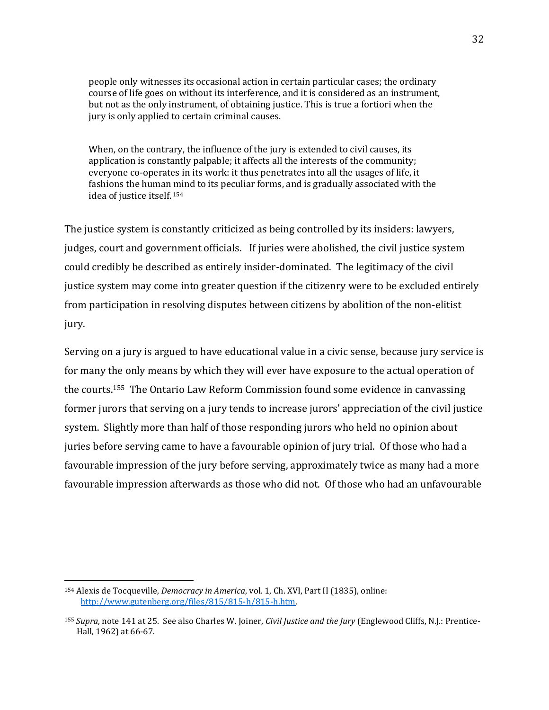people only witnesses its occasional action in certain particular cases; the ordinary course of life goes on without its interference, and it is considered as an instrument, but not as the only instrument, of obtaining justice. This is true a fortiori when the jury is only applied to certain criminal causes.

When, on the contrary, the influence of the jury is extended to civil causes, its application is constantly palpable; it affects all the interests of the community; everyone co-operates in its work: it thus penetrates into all the usages of life, it fashions the human mind to its peculiar forms, and is gradually associated with the idea of justice itself. <sup>154</sup>

The justice system is constantly criticized as being controlled by its insiders: lawyers, judges, court and government officials. If juries were abolished, the civil justice system could credibly be described as entirely insider-dominated. The legitimacy of the civil justice system may come into greater question if the citizenry were to be excluded entirely from participation in resolving disputes between citizens by abolition of the non-elitist jury.

<span id="page-37-0"></span>Serving on a jury is argued to have educational value in a civic sense, because jury service is for many the only means by which they will ever have exposure to the actual operation of the courts. <sup>155</sup> The Ontario Law Reform Commission found some evidence in canvassing former jurors that serving on a jury tends to increase jurors' appreciation of the civil justice system. Slightly more than half of those responding jurors who held no opinion about juries before serving came to have a favourable opinion of jury trial. Of those who had a favourable impression of the jury before serving, approximately twice as many had a more favourable impression afterwards as those who did not. Of those who had an unfavourable

<sup>154</sup> Alexis de Tocqueville, *Democracy in America*, vol. 1, Ch. XVI, Part II (1835), online: [http://www.gutenberg.org/files/815/815-h/815-h.htm.](http://www.gutenberg.org/files/815/815-h/815-h.htm)

<sup>155</sup> *Supra*, not[e 141](#page-32-0) at 25. See also Charles W. Joiner, *Civil Justice and the Jury* (Englewood Cliffs, N.J.: Prentice-Hall, 1962) at 66-67.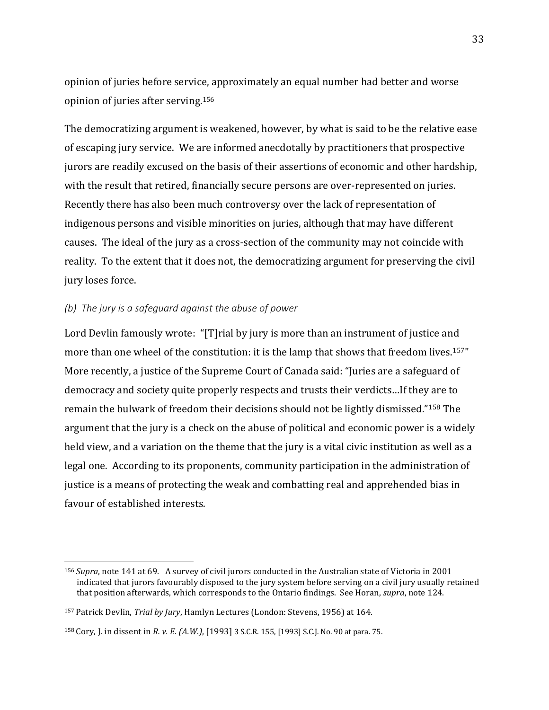opinion of juries before service, approximately an equal number had better and worse opinion of juries after serving. 156

The democratizing argument is weakened, however, by what is said to be the relative ease of escaping jury service. We are informed anecdotally by practitioners that prospective jurors are readily excused on the basis of their assertions of economic and other hardship, with the result that retired, financially secure persons are over-represented on juries. Recently there has also been much controversy over the lack of representation of indigenous persons and visible minorities on juries, although that may have different causes. The ideal of the jury as a cross-section of the community may not coincide with reality. To the extent that it does not, the democratizing argument for preserving the civil jury loses force.

#### <span id="page-38-0"></span>*(b) The jury is a safeguard against the abuse of power*

Lord Devlin famously wrote: "[T]rial by jury is more than an instrument of justice and more than one wheel of the constitution: it is the lamp that shows that freedom lives.<sup>157"</sup> More recently, a justice of the Supreme Court of Canada said: "Juries are a safeguard of democracy and society quite properly respects and trusts their verdicts…If they are to remain the bulwark of freedom their decisions should not be lightly dismissed."<sup>158</sup> The argument that the jury is a check on the abuse of political and economic power is a widely held view, and a variation on the theme that the jury is a vital civic institution as well as a legal one. According to its proponents, community participation in the administration of justice is a means of protecting the weak and combatting real and apprehended bias in favour of established interests.

<sup>156</sup> *Supra*, not[e 141](#page-32-0) at 69. A survey of civil jurors conducted in the Australian state of Victoria in 2001 indicated that jurors favourably disposed to the jury system before serving on a civil jury usually retained that position afterwards, which corresponds to the Ontario findings. See Horan, *supra*, note [124.](#page-29-1) 

<sup>157</sup> Patrick Devlin, *Trial by Jury*, Hamlyn Lectures (London: Stevens, 1956) at 164.

<sup>158</sup> Cory, J. in dissent in *R. v. E. (A.W.)*, [1993] 3 S.C.R. 155, [1993] S.C.J. No. 90 at para. 75.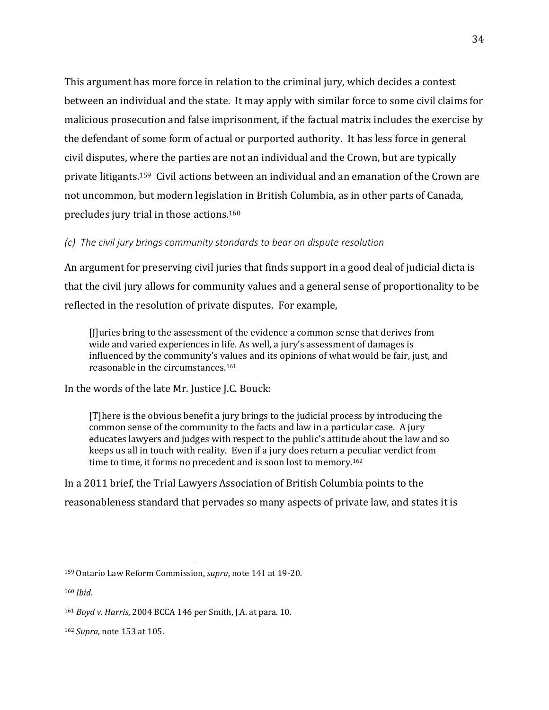This argument has more force in relation to the criminal jury, which decides a contest between an individual and the state. It may apply with similar force to some civil claims for malicious prosecution and false imprisonment, if the factual matrix includes the exercise by the defendant of some form of actual or purported authority. It has less force in general civil disputes, where the parties are not an individual and the Crown, but are typically private litigants. <sup>159</sup> Civil actions between an individual and an emanation of the Crown are not uncommon, but modern legislation in British Columbia, as in other parts of Canada, precludes jury trial in those actions.<sup>160</sup>

#### <span id="page-39-0"></span>*(c) The civil jury brings community standards to bear on dispute resolution*

An argument for preserving civil juries that finds support in a good deal of judicial dicta is that the civil jury allows for community values and a general sense of proportionality to be reflected in the resolution of private disputes. For example,

[J]uries bring to the assessment of the evidence a common sense that derives from wide and varied experiences in life. As well, a jury's assessment of damages is influenced by the community's values and its opinions of what would be fair, just, and reasonable in the circumstances.<sup>161</sup>

In the words of the late Mr. Justice J.C. Bouck:

[T]here is the obvious benefit a jury brings to the judicial process by introducing the common sense of the community to the facts and law in a particular case. A jury educates lawyers and judges with respect to the public's attitude about the law and so keeps us all in touch with reality. Even if a jury does return a peculiar verdict from time to time, it forms no precedent and is soon lost to memory.<sup>162</sup>

In a 2011 brief, the Trial Lawyers Association of British Columbia points to the reasonableness standard that pervades so many aspects of private law, and states it is

<sup>159</sup> Ontario Law Reform Commission, *supra*, not[e 141](#page-32-0) at 19-20.

<sup>160</sup> *Ibid.*

<sup>161</sup> *Boyd v. Harris*, 2004 BCCA 146 per Smith, J.A. at para. 10.

<sup>162</sup> *Supra*, not[e 153](#page-36-2) at 105.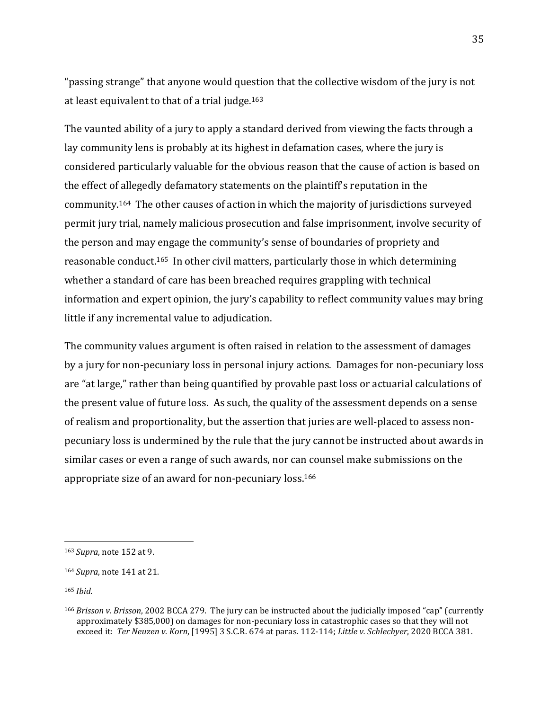"passing strange" that anyone would question that the collective wisdom of the jury is not at least equivalent to that of a trial judge. $163$ 

The vaunted ability of a jury to apply a standard derived from viewing the facts through a lay community lens is probably at its highest in defamation cases, where the jury is considered particularly valuable for the obvious reason that the cause of action is based on the effect of allegedly defamatory statements on the plaintiff's reputation in the community.164 The other causes of action in which the majority of jurisdictions surveyed permit jury trial, namely malicious prosecution and false imprisonment, involve security of the person and may engage the community's sense of boundaries of propriety and reasonable conduct.165 In other civil matters, particularly those in which determining whether a standard of care has been breached requires grappling with technical information and expert opinion, the jury's capability to reflect community values may bring little if any incremental value to adjudication.

The community values argument is often raised in relation to the assessment of damages by a jury for non-pecuniary loss in personal injury actions. Damages for non-pecuniary loss are "at large," rather than being quantified by provable past loss or actuarial calculations of the present value of future loss. As such, the quality of the assessment depends on a sense of realism and proportionality, but the assertion that juries are well-placed to assess nonpecuniary loss is undermined by the rule that the jury cannot be instructed about awards in similar cases or even a range of such awards, nor can counsel make submissions on the appropriate size of an award for non-pecuniary loss.<sup>166</sup>

<sup>165</sup> *Ibid.*

<span id="page-40-0"></span><sup>163</sup> *Supra*, not[e 152](#page-36-3) at 9.

<sup>164</sup> *Supra*, not[e 141](#page-32-0) at 21.

<sup>166</sup> *Brisson v. Brisson*, 2002 BCCA 279. The jury can be instructed about the judicially imposed "cap" (currently approximately \$385,000) on damages for non-pecuniary loss in catastrophic cases so that they will not exceed it: *Ter Neuzen v. Korn*, [1995] 3 S.C.R. 674 at paras. 112-114; *Little v. Schlechyer*, 2020 BCCA 381.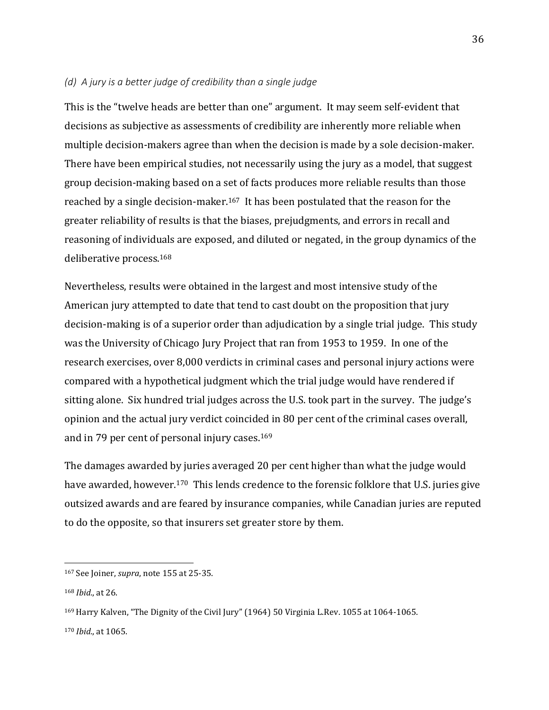#### <span id="page-41-0"></span>*(d) A jury is a better judge of credibility than a single judge*

This is the "twelve heads are better than one" argument. It may seem self-evident that decisions as subjective as assessments of credibility are inherently more reliable when multiple decision-makers agree than when the decision is made by a sole decision-maker. There have been empirical studies, not necessarily using the jury as a model, that suggest group decision-making based on a set of facts produces more reliable results than those reached by a single decision-maker.167 It has been postulated that the reason for the greater reliability of results is that the biases, prejudgments, and errors in recall and reasoning of individuals are exposed, and diluted or negated, in the group dynamics of the deliberative process.<sup>168</sup>

Nevertheless, results were obtained in the largest and most intensive study of the American jury attempted to date that tend to cast doubt on the proposition that jury decision-making is of a superior order than adjudication by a single trial judge. This study was the University of Chicago Jury Project that ran from 1953 to 1959. In one of the research exercises, over 8,000 verdicts in criminal cases and personal injury actions were compared with a hypothetical judgment which the trial judge would have rendered if sitting alone. Six hundred trial judges across the U.S. took part in the survey. The judge's opinion and the actual jury verdict coincided in 80 per cent of the criminal cases overall, and in 79 per cent of personal injury cases.<sup>169</sup>

The damages awarded by juries averaged 20 per cent higher than what the judge would have awarded, however. <sup>170</sup> This lends credence to the forensic folklore that U.S. juries give outsized awards and are feared by insurance companies, while Canadian juries are reputed to do the opposite, so that insurers set greater store by them.

<sup>167</sup> See Joiner, *supra*, not[e 155](#page-37-0) at 25-35.

<sup>168</sup> *Ibid.*, at 26.

<sup>169</sup> Harry Kalven, "The Dignity of the Civil Jury" (1964) 50 Virginia L.Rev. 1055 at 1064-1065.

<sup>170</sup> *Ibid.*, at 1065.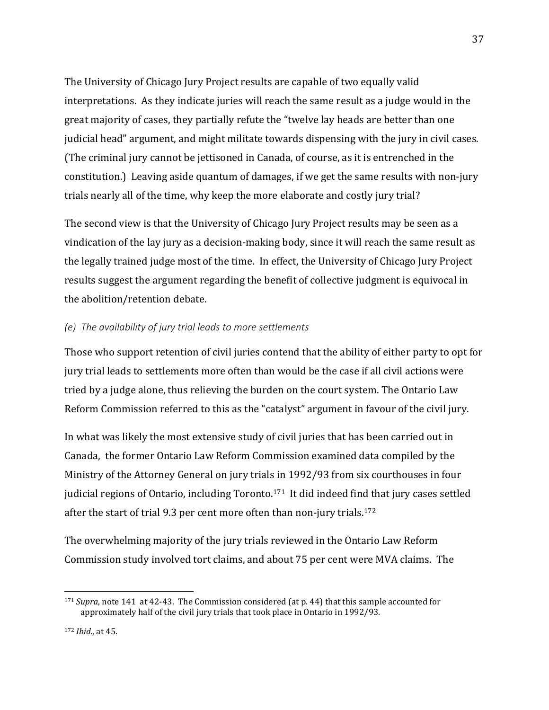The University of Chicago Jury Project results are capable of two equally valid interpretations. As they indicate juries will reach the same result as a judge would in the great majority of cases, they partially refute the "twelve lay heads are better than one judicial head" argument, and might militate towards dispensing with the jury in civil cases. (The criminal jury cannot be jettisoned in Canada, of course, as it is entrenched in the constitution.) Leaving aside quantum of damages, if we get the same results with non-jury trials nearly all of the time, why keep the more elaborate and costly jury trial?

The second view is that the University of Chicago Jury Project results may be seen as a vindication of the lay jury as a decision-making body, since it will reach the same result as the legally trained judge most of the time. In effect, the University of Chicago Jury Project results suggest the argument regarding the benefit of collective judgment is equivocal in the abolition/retention debate.

#### <span id="page-42-0"></span>*(e) The availability of jury trial leads to more settlements*

Those who support retention of civil juries contend that the ability of either party to opt for jury trial leads to settlements more often than would be the case if all civil actions were tried by a judge alone, thus relieving the burden on the court system. The Ontario Law Reform Commission referred to this as the "catalyst" argument in favour of the civil jury.

In what was likely the most extensive study of civil juries that has been carried out in Canada, the former Ontario Law Reform Commission examined data compiled by the Ministry of the Attorney General on jury trials in 1992/93 from six courthouses in four judicial regions of Ontario, including Toronto.<sup>171</sup> It did indeed find that jury cases settled after the start of trial 9.3 per cent more often than non-jury trials.<sup>172</sup>

The overwhelming majority of the jury trials reviewed in the Ontario Law Reform Commission study involved tort claims, and about 75 per cent were MVA claims. The

<sup>171</sup> *Supra*, not[e 141](#page-32-0) at 42-43. The Commission considered (at p. 44) that this sample accounted for approximately half of the civil jury trials that took place in Ontario in 1992/93.

<sup>172</sup> *Ibid.*, at 45.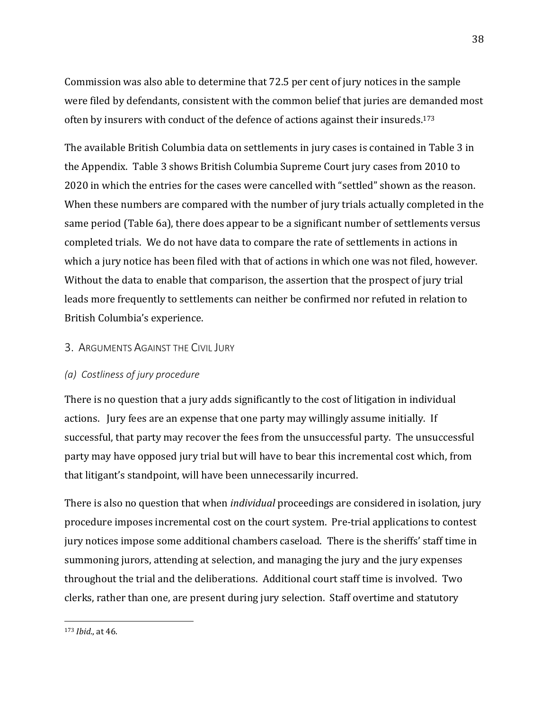Commission was also able to determine that 72.5 per cent of jury notices in the sample were filed by defendants, consistent with the common belief that juries are demanded most often by insurers with conduct of the defence of actions against their insureds. 173

The available British Columbia data on settlements in jury cases is contained in Table 3 in the Appendix. Table 3 shows British Columbia Supreme Court jury cases from 2010 to 2020 in which the entries for the cases were cancelled with "settled" shown as the reason. When these numbers are compared with the number of jury trials actually completed in the same period (Table 6a), there does appear to be a significant number of settlements versus completed trials. We do not have data to compare the rate of settlements in actions in which a jury notice has been filed with that of actions in which one was not filed, however. Without the data to enable that comparison, the assertion that the prospect of jury trial leads more frequently to settlements can neither be confirmed nor refuted in relation to British Columbia's experience.

# <span id="page-43-0"></span>3. ARGUMENTS AGAINST THE CIVIL JURY

# <span id="page-43-1"></span>*(a) Costliness of jury procedure*

There is no question that a jury adds significantly to the cost of litigation in individual actions. Jury fees are an expense that one party may willingly assume initially. If successful, that party may recover the fees from the unsuccessful party. The unsuccessful party may have opposed jury trial but will have to bear this incremental cost which, from that litigant's standpoint, will have been unnecessarily incurred.

There is also no question that when *individual* proceedings are considered in isolation, jury procedure imposes incremental cost on the court system. Pre-trial applications to contest jury notices impose some additional chambers caseload. There is the sheriffs' staff time in summoning jurors, attending at selection, and managing the jury and the jury expenses throughout the trial and the deliberations. Additional court staff time is involved. Two clerks, rather than one, are present during jury selection. Staff overtime and statutory

<sup>173</sup> *Ibid.*, at 46.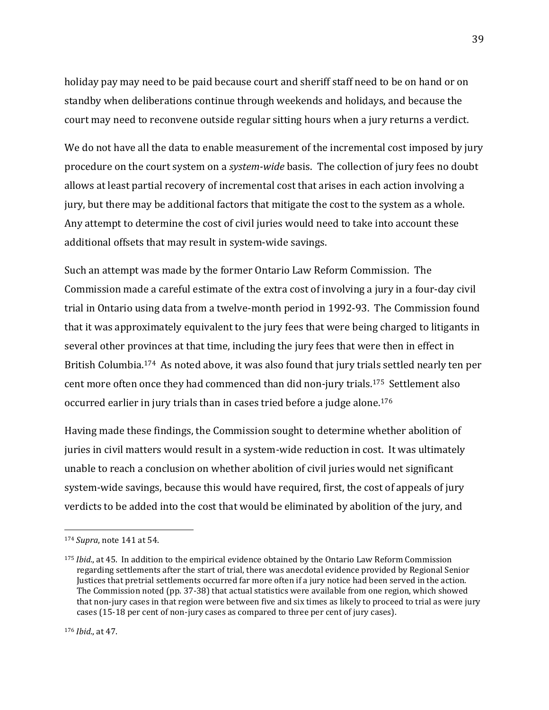holiday pay may need to be paid because court and sheriff staff need to be on hand or on standby when deliberations continue through weekends and holidays, and because the court may need to reconvene outside regular sitting hours when a jury returns a verdict.

We do not have all the data to enable measurement of the incremental cost imposed by jury procedure on the court system on a *system-wide* basis. The collection of jury fees no doubt allows at least partial recovery of incremental cost that arises in each action involving a jury, but there may be additional factors that mitigate the cost to the system as a whole. Any attempt to determine the cost of civil juries would need to take into account these additional offsets that may result in system-wide savings.

Such an attempt was made by the former Ontario Law Reform Commission. The Commission made a careful estimate of the extra cost of involving a jury in a four-day civil trial in Ontario using data from a twelve-month period in 1992-93. The Commission found that it was approximately equivalent to the jury fees that were being charged to litigants in several other provinces at that time, including the jury fees that were then in effect in British Columbia.174 As noted above, it was also found that jury trials settled nearly ten per cent more often once they had commenced than did non-jury trials. <sup>175</sup> Settlement also occurred earlier in jury trials than in cases tried before a judge alone.<sup>176</sup>

Having made these findings, the Commission sought to determine whether abolition of juries in civil matters would result in a system-wide reduction in cost. It was ultimately unable to reach a conclusion on whether abolition of civil juries would net significant system-wide savings, because this would have required, first, the cost of appeals of jury verdicts to be added into the cost that would be eliminated by abolition of the jury, and

<sup>174</sup> *Supra*, not[e 141](#page-32-0) at 54.

<sup>175</sup> *Ibid.*, at 45. In addition to the empirical evidence obtained by the Ontario Law Reform Commission regarding settlements after the start of trial, there was anecdotal evidence provided by Regional Senior Justices that pretrial settlements occurred far more often if a jury notice had been served in the action. The Commission noted (pp. 37-38) that actual statistics were available from one region, which showed that non-jury cases in that region were between five and six times as likely to proceed to trial as were jury cases (15-18 per cent of non-jury cases as compared to three per cent of jury cases).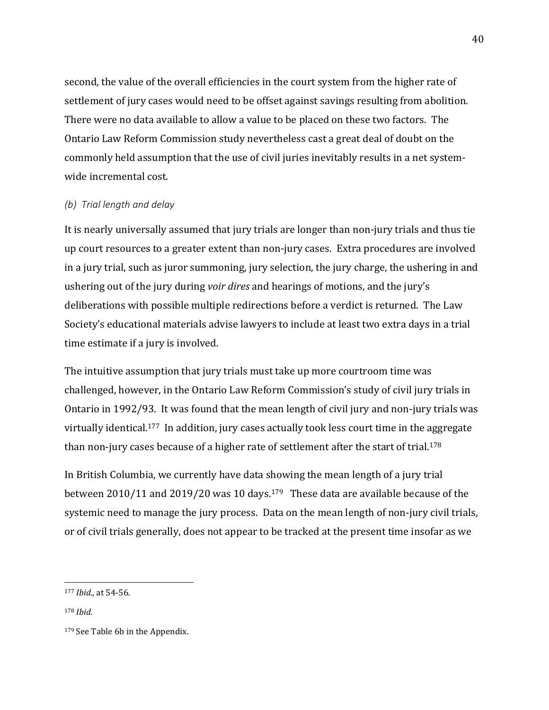second, the value of the overall efficiencies in the court system from the higher rate of settlement of jury cases would need to be offset against savings resulting from abolition. There were no data available to allow a value to be placed on these two factors. The Ontario Law Reform Commission study nevertheless cast a great deal of doubt on the commonly held assumption that the use of civil juries inevitably results in a net systemwide incremental cost.

#### <span id="page-45-0"></span>*(b) Trial length and delay*

It is nearly universally assumed that jury trials are longer than non-jury trials and thus tie up court resources to a greater extent than non-jury cases. Extra procedures are involved in a jury trial, such as juror summoning, jury selection, the jury charge, the ushering in and ushering out of the jury during *voir dires* and hearings of motions, and the jury's deliberations with possible multiple redirections before a verdict is returned. The Law Society's educational materials advise lawyers to include at least two extra days in a trial time estimate if a jury is involved.

The intuitive assumption that jury trials must take up more courtroom time was challenged, however, in the Ontario Law Reform Commission's study of civil jury trials in Ontario in 1992/93. It was found that the mean length of civil jury and non-jury trials was virtually identical.177 In addition, jury cases actually took less court time in the aggregate than non-jury cases because of a higher rate of settlement after the start of trial.<sup>178</sup>

In British Columbia, we currently have data showing the mean length of a jury trial between 2010/11 and 2019/20 was 10 days.179 These data are available because of the systemic need to manage the jury process. Data on the mean length of non-jury civil trials, or of civil trials generally, does not appear to be tracked at the present time insofar as we

<sup>177</sup> *Ibid.*, at 54-56.

<sup>178</sup> *Ibid.*

<sup>179</sup> See Table 6b in the Appendix.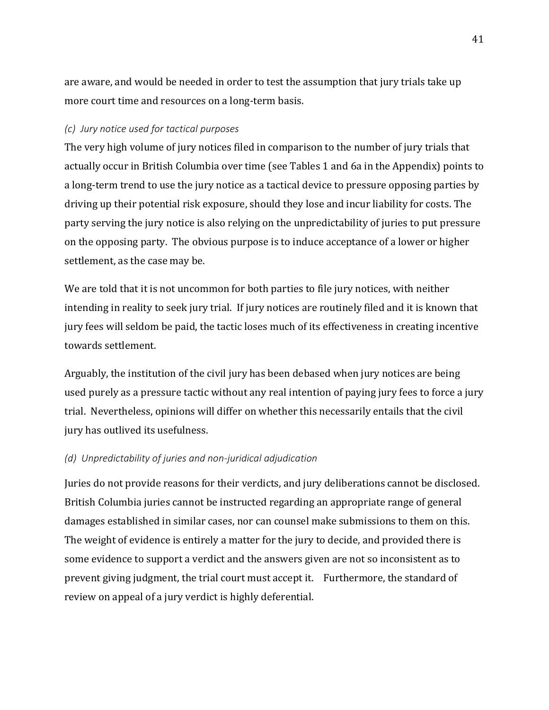are aware, and would be needed in order to test the assumption that jury trials take up more court time and resources on a long-term basis.

#### <span id="page-46-0"></span>*(c) Jury notice used for tactical purposes*

The very high volume of jury notices filed in comparison to the number of jury trials that actually occur in British Columbia over time (see Tables 1 and 6a in the Appendix) points to a long-term trend to use the jury notice as a tactical device to pressure opposing parties by driving up their potential risk exposure, should they lose and incur liability for costs. The party serving the jury notice is also relying on the unpredictability of juries to put pressure on the opposing party. The obvious purpose is to induce acceptance of a lower or higher settlement, as the case may be.

We are told that it is not uncommon for both parties to file jury notices, with neither intending in reality to seek jury trial. If jury notices are routinely filed and it is known that jury fees will seldom be paid, the tactic loses much of its effectiveness in creating incentive towards settlement.

Arguably, the institution of the civil jury has been debased when jury notices are being used purely as a pressure tactic without any real intention of paying jury fees to force a jury trial. Nevertheless, opinions will differ on whether this necessarily entails that the civil jury has outlived its usefulness.

#### <span id="page-46-1"></span>*(d) Unpredictability of juries and non-juridical adjudication*

Juries do not provide reasons for their verdicts, and jury deliberations cannot be disclosed. British Columbia juries cannot be instructed regarding an appropriate range of general damages established in similar cases, nor can counsel make submissions to them on this. The weight of evidence is entirely a matter for the jury to decide, and provided there is some evidence to support a verdict and the answers given are not so inconsistent as to prevent giving judgment, the trial court must accept it. Furthermore, the standard of review on appeal of a jury verdict is highly deferential.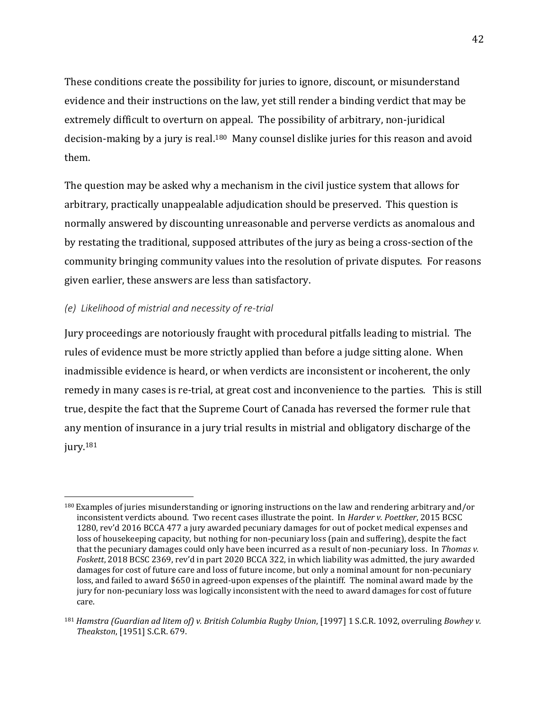These conditions create the possibility for juries to ignore, discount, or misunderstand evidence and their instructions on the law, yet still render a binding verdict that may be extremely difficult to overturn on appeal. The possibility of arbitrary, non-juridical decision-making by a jury is real.<sup>180</sup> Many counsel dislike juries for this reason and avoid them.

The question may be asked why a mechanism in the civil justice system that allows for arbitrary, practically unappealable adjudication should be preserved. This question is normally answered by discounting unreasonable and perverse verdicts as anomalous and by restating the traditional, supposed attributes of the jury as being a cross-section of the community bringing community values into the resolution of private disputes. For reasons given earlier, these answers are less than satisfactory.

#### <span id="page-47-0"></span>*(e) Likelihood of mistrial and necessity of re-trial*

Jury proceedings are notoriously fraught with procedural pitfalls leading to mistrial. The rules of evidence must be more strictly applied than before a judge sitting alone. When inadmissible evidence is heard, or when verdicts are inconsistent or incoherent, the only remedy in many cases is re-trial, at great cost and inconvenience to the parties. This is still true, despite the fact that the Supreme Court of Canada has reversed the former rule that any mention of insurance in a jury trial results in mistrial and obligatory discharge of the jury.<sup>181</sup>

<sup>180</sup> Examples of juries misunderstanding or ignoring instructions on the law and rendering arbitrary and/or inconsistent verdicts abound. Two recent cases illustrate the point. In *Harder v. Poettker*, 2015 BCSC 1280, rev'd 2016 BCCA 477 a jury awarded pecuniary damages for out of pocket medical expenses and loss of housekeeping capacity, but nothing for non-pecuniary loss (pain and suffering), despite the fact that the pecuniary damages could only have been incurred as a result of non-pecuniary loss. In *Thomas v. Foskett*, 2018 BCSC 2369, rev'd in part 2020 BCCA 322, in which liability was admitted, the jury awarded damages for cost of future care and loss of future income, but only a nominal amount for non-pecuniary loss, and failed to award \$650 in agreed-upon expenses of the plaintiff. The nominal award made by the jury for non-pecuniary loss was logically inconsistent with the need to award damages for cost of future care.

<sup>181</sup> *Hamstra (Guardian ad litem of) v. British Columbia Rugby Union*, [1997] 1 S.C.R. 1092, overruling *Bowhey v. Theakston*, [1951] S.C.R. 679.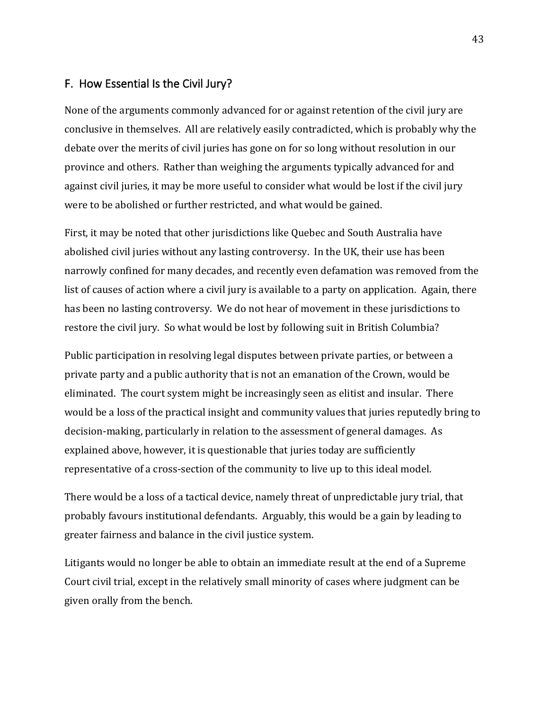# <span id="page-48-0"></span>F. How Essential Is the Civil Jury?

None of the arguments commonly advanced for or against retention of the civil jury are conclusive in themselves. All are relatively easily contradicted, which is probably why the debate over the merits of civil juries has gone on for so long without resolution in our province and others. Rather than weighing the arguments typically advanced for and against civil juries, it may be more useful to consider what would be lost if the civil jury were to be abolished or further restricted, and what would be gained.

First, it may be noted that other jurisdictions like Quebec and South Australia have abolished civil juries without any lasting controversy. In the UK, their use has been narrowly confined for many decades, and recently even defamation was removed from the list of causes of action where a civil jury is available to a party on application. Again, there has been no lasting controversy. We do not hear of movement in these jurisdictions to restore the civil jury. So what would be lost by following suit in British Columbia?

Public participation in resolving legal disputes between private parties, or between a private party and a public authority that is not an emanation of the Crown, would be eliminated. The court system might be increasingly seen as elitist and insular. There would be a loss of the practical insight and community values that juries reputedly bring to decision-making, particularly in relation to the assessment of general damages. As explained above, however, it is questionable that juries today are sufficiently representative of a cross-section of the community to live up to this ideal model.

There would be a loss of a tactical device, namely threat of unpredictable jury trial, that probably favours institutional defendants. Arguably, this would be a gain by leading to greater fairness and balance in the civil justice system.

Litigants would no longer be able to obtain an immediate result at the end of a Supreme Court civil trial, except in the relatively small minority of cases where judgment can be given orally from the bench.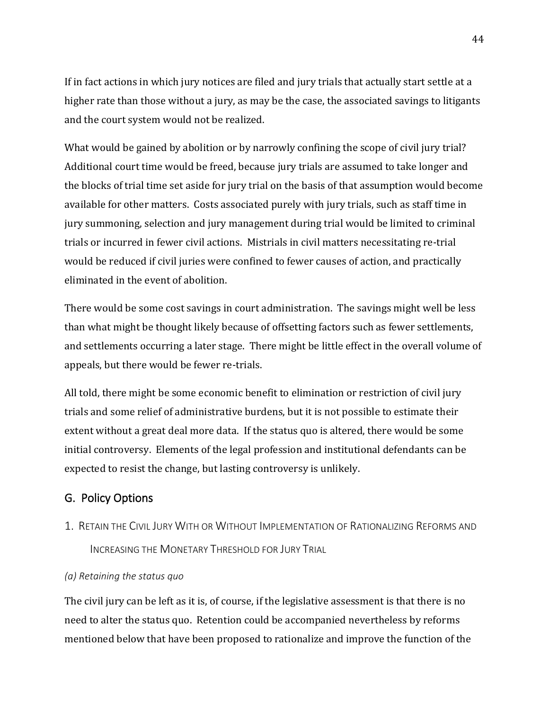If in fact actions in which jury notices are filed and jury trials that actually start settle at a higher rate than those without a jury, as may be the case, the associated savings to litigants and the court system would not be realized.

What would be gained by abolition or by narrowly confining the scope of civil jury trial? Additional court time would be freed, because jury trials are assumed to take longer and the blocks of trial time set aside for jury trial on the basis of that assumption would become available for other matters. Costs associated purely with jury trials, such as staff time in jury summoning, selection and jury management during trial would be limited to criminal trials or incurred in fewer civil actions. Mistrials in civil matters necessitating re-trial would be reduced if civil juries were confined to fewer causes of action, and practically eliminated in the event of abolition.

There would be some cost savings in court administration. The savings might well be less than what might be thought likely because of offsetting factors such as fewer settlements, and settlements occurring a later stage. There might be little effect in the overall volume of appeals, but there would be fewer re-trials.

All told, there might be some economic benefit to elimination or restriction of civil jury trials and some relief of administrative burdens, but it is not possible to estimate their extent without a great deal more data. If the status quo is altered, there would be some initial controversy. Elements of the legal profession and institutional defendants can be expected to resist the change, but lasting controversy is unlikely.

# <span id="page-49-0"></span>G. Policy Options

<span id="page-49-1"></span>1. RETAIN THE CIVIL JURY WITH OR WITHOUT IMPLEMENTATION OF RATIONALIZING REFORMS AND INCREASING THE MONETARY THRESHOLD FOR JURY TRIAL

#### <span id="page-49-2"></span>*(a) Retaining the status quo*

The civil jury can be left as it is, of course, if the legislative assessment is that there is no need to alter the status quo. Retention could be accompanied nevertheless by reforms mentioned below that have been proposed to rationalize and improve the function of the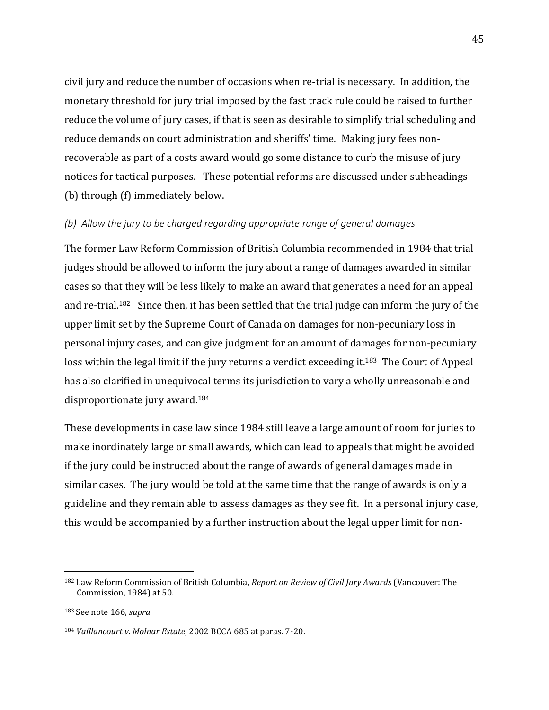civil jury and reduce the number of occasions when re-trial is necessary. In addition, the monetary threshold for jury trial imposed by the fast track rule could be raised to further reduce the volume of jury cases, if that is seen as desirable to simplify trial scheduling and reduce demands on court administration and sheriffs' time. Making jury fees nonrecoverable as part of a costs award would go some distance to curb the misuse of jury notices for tactical purposes. These potential reforms are discussed under subheadings (b) through (f) immediately below.

# <span id="page-50-0"></span>*(b) Allow the jury to be charged regarding appropriate range of general damages*

<span id="page-50-1"></span>The former Law Reform Commission of British Columbia recommended in 1984 that trial judges should be allowed to inform the jury about a range of damages awarded in similar cases so that they will be less likely to make an award that generates a need for an appeal and re-trial. <sup>182</sup> Since then, it has been settled that the trial judge can inform the jury of the upper limit set by the Supreme Court of Canada on damages for non-pecuniary loss in personal injury cases, and can give judgment for an amount of damages for non-pecuniary loss within the legal limit if the jury returns a verdict exceeding it.<sup>183</sup> The Court of Appeal has also clarified in unequivocal terms its jurisdiction to vary a wholly unreasonable and disproportionate jury award.<sup>184</sup>

These developments in case law since 1984 still leave a large amount of room for juries to make inordinately large or small awards, which can lead to appeals that might be avoided if the jury could be instructed about the range of awards of general damages made in similar cases. The jury would be told at the same time that the range of awards is only a guideline and they remain able to assess damages as they see fit. In a personal injury case, this would be accompanied by a further instruction about the legal upper limit for non-

<sup>182</sup> Law Reform Commission of British Columbia, *Report on Review of Civil Jury Awards* (Vancouver: The Commission, 1984) at 50.

<sup>183</sup> See note [166,](#page-40-0) *supra*.

<sup>184</sup> *Vaillancourt v. Molnar Estate*, 2002 BCCA 685 at paras. 7-20.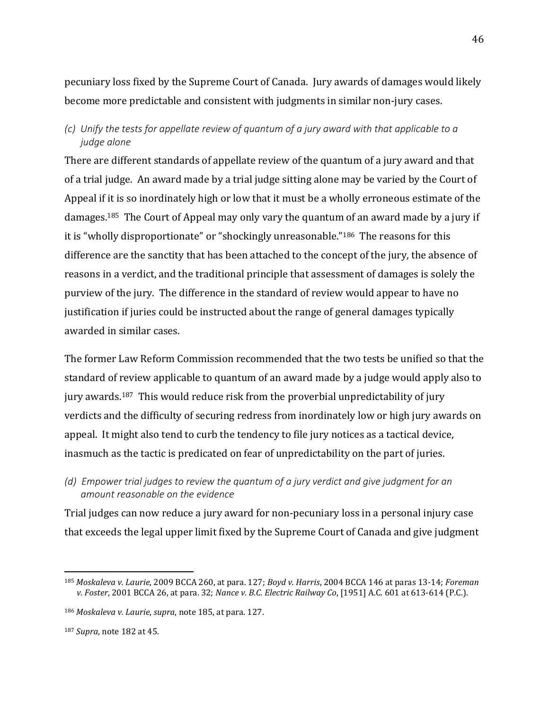pecuniary loss fixed by the Supreme Court of Canada. Jury awards of damages would likely become more predictable and consistent with judgments in similar non-jury cases.

# <span id="page-51-0"></span>*(c) Unify the tests for appellate review of quantum of a jury award with that applicable to a judge alone*

<span id="page-51-2"></span>There are different standards of appellate review of the quantum of a jury award and that of a trial judge. An award made by a trial judge sitting alone may be varied by the Court of Appeal if it is so inordinately high or low that it must be a wholly erroneous estimate of the damages.<sup>185</sup> The Court of Appeal may only vary the quantum of an award made by a jury if it is "wholly disproportionate" or "shockingly unreasonable."186 The reasons for this difference are the sanctity that has been attached to the concept of the jury, the absence of reasons in a verdict, and the traditional principle that assessment of damages is solely the purview of the jury. The difference in the standard of review would appear to have no justification if juries could be instructed about the range of general damages typically awarded in similar cases.

The former Law Reform Commission recommended that the two tests be unified so that the standard of review applicable to quantum of an award made by a judge would apply also to jury awards.187 This would reduce risk from the proverbial unpredictability of jury verdicts and the difficulty of securing redress from inordinately low or high jury awards on appeal. It might also tend to curb the tendency to file jury notices as a tactical device, inasmuch as the tactic is predicated on fear of unpredictability on the part of juries.

<span id="page-51-1"></span>*(d) Empower trial judges to review the quantum of a jury verdict and give judgment for an amount reasonable on the evidence*

Trial judges can now reduce a jury award for non-pecuniary loss in a personal injury case that exceeds the legal upper limit fixed by the Supreme Court of Canada and give judgment

<sup>185</sup> *Moskaleva v. Laurie*, 2009 BCCA 260, at para. 127; *Boyd v. Harris*, 2004 BCCA 146 at paras 13-14; *Foreman v. Foster*, 2001 BCCA 26, at para. 32; *Nance v. B.C. Electric Railway Co*, [1951] A.C. 601 at 613-614 (P.C.).

<sup>186</sup> *Moskaleva v. Laurie*, *supra*, note [185,](#page-51-2) at para. 127.

<sup>187</sup> *Supra*, note [182](#page-50-1) at 45.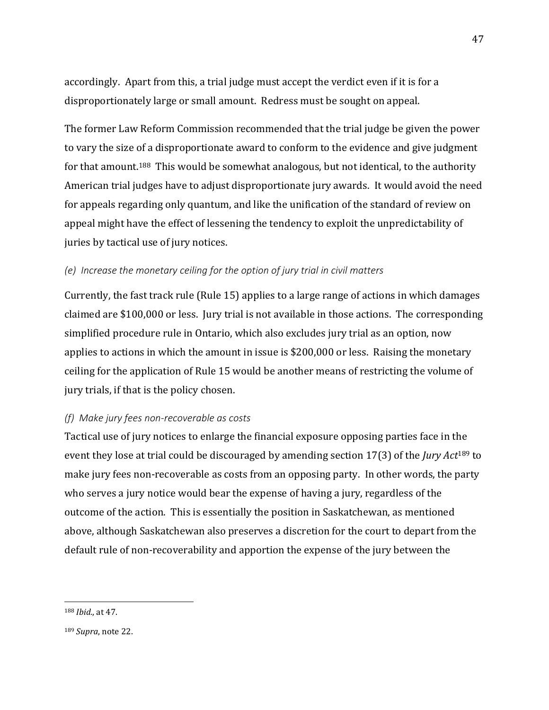accordingly. Apart from this, a trial judge must accept the verdict even if it is for a disproportionately large or small amount. Redress must be sought on appeal.

The former Law Reform Commission recommended that the trial judge be given the power to vary the size of a disproportionate award to conform to the evidence and give judgment for that amount.<sup>188</sup> This would be somewhat analogous, but not identical, to the authority American trial judges have to adjust disproportionate jury awards. It would avoid the need for appeals regarding only quantum, and like the unification of the standard of review on appeal might have the effect of lessening the tendency to exploit the unpredictability of juries by tactical use of jury notices.

#### <span id="page-52-0"></span>*(e) Increase the monetary ceiling for the option of jury trial in civil matters*

Currently, the fast track rule (Rule 15) applies to a large range of actions in which damages claimed are \$100,000 or less. Jury trial is not available in those actions. The corresponding simplified procedure rule in Ontario, which also excludes jury trial as an option, now applies to actions in which the amount in issue is \$200,000 or less. Raising the monetary ceiling for the application of Rule 15 would be another means of restricting the volume of jury trials, if that is the policy chosen.

#### <span id="page-52-1"></span>*(f) Make jury fees non-recoverable as costs*

Tactical use of jury notices to enlarge the financial exposure opposing parties face in the event they lose at trial could be discouraged by amending section 17(3) of the *Jury Act*<sup>189</sup> to make jury fees non-recoverable as costs from an opposing party. In other words, the party who serves a jury notice would bear the expense of having a jury, regardless of the outcome of the action. This is essentially the position in Saskatchewan, as mentioned above, although Saskatchewan also preserves a discretion for the court to depart from the default rule of non-recoverability and apportion the expense of the jury between the

<sup>188</sup> *Ibid.*, at 47.

<sup>189</sup> *Supra*, not[e 22.](#page-11-2)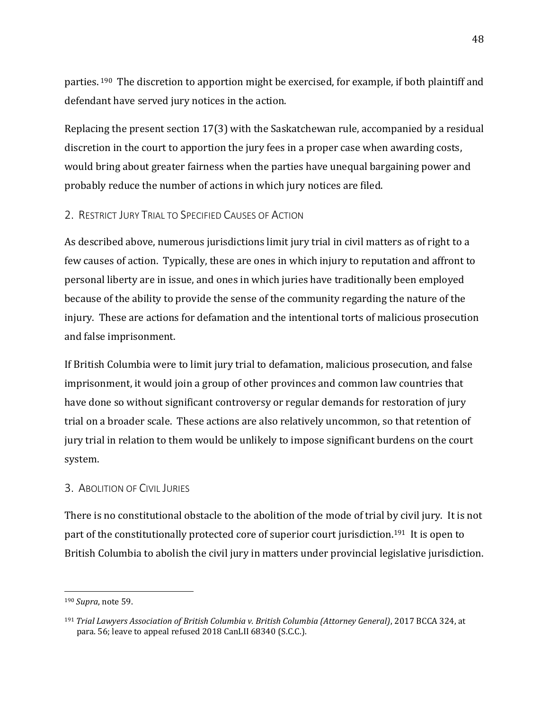parties. <sup>190</sup> The discretion to apportion might be exercised, for example, if both plaintiff and defendant have served jury notices in the action.

Replacing the present section 17(3) with the Saskatchewan rule, accompanied by a residual discretion in the court to apportion the jury fees in a proper case when awarding costs, would bring about greater fairness when the parties have unequal bargaining power and probably reduce the number of actions in which jury notices are filed.

# <span id="page-53-0"></span>2. RESTRICT JURY TRIAL TO SPECIFIED CAUSES OF ACTION

As described above, numerous jurisdictions limit jury trial in civil matters as of right to a few causes of action. Typically, these are ones in which injury to reputation and affront to personal liberty are in issue, and ones in which juries have traditionally been employed because of the ability to provide the sense of the community regarding the nature of the injury. These are actions for defamation and the intentional torts of malicious prosecution and false imprisonment.

If British Columbia were to limit jury trial to defamation, malicious prosecution, and false imprisonment, it would join a group of other provinces and common law countries that have done so without significant controversy or regular demands for restoration of jury trial on a broader scale. These actions are also relatively uncommon, so that retention of jury trial in relation to them would be unlikely to impose significant burdens on the court system.

# <span id="page-53-1"></span>3. ABOLITION OF CIVIL JURIES

There is no constitutional obstacle to the abolition of the mode of trial by civil jury. It is not part of the constitutionally protected core of superior court jurisdiction.<sup>191</sup> It is open to British Columbia to abolish the civil jury in matters under provincial legislative jurisdiction.

<sup>190</sup> *Supra*, not[e 59.](#page-20-4) 

<sup>191</sup> *Trial Lawyers Association of British Columbia v. British Columbia (Attorney General)*, 2017 BCCA 324, at para. 56; leave to appeal refused 2018 CanLII 68340 (S.C.C.).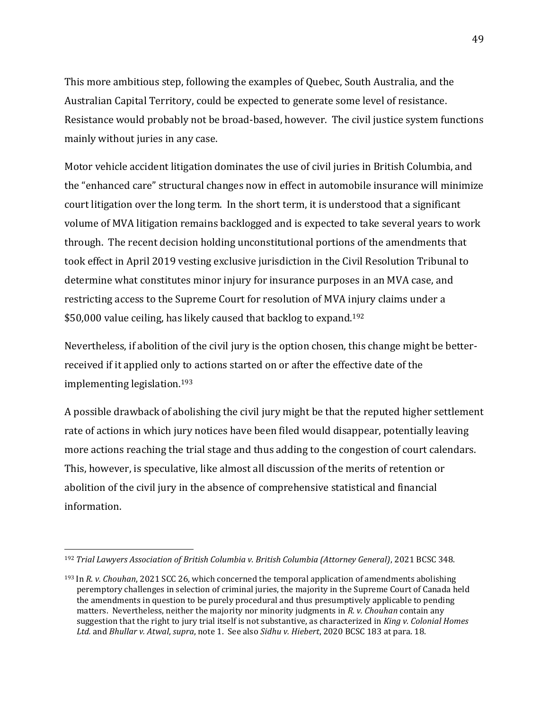This more ambitious step, following the examples of Quebec, South Australia, and the Australian Capital Territory, could be expected to generate some level of resistance. Resistance would probably not be broad-based, however. The civil justice system functions mainly without juries in any case.

Motor vehicle accident litigation dominates the use of civil juries in British Columbia, and the "enhanced care" structural changes now in effect in automobile insurance will minimize court litigation over the long term. In the short term, it is understood that a significant volume of MVA litigation remains backlogged and is expected to take several years to work through. The recent decision holding unconstitutional portions of the amendments that took effect in April 2019 vesting exclusive jurisdiction in the Civil Resolution Tribunal to determine what constitutes minor injury for insurance purposes in an MVA case, and restricting access to the Supreme Court for resolution of MVA injury claims under a \$50,000 value ceiling, has likely caused that backlog to expand.<sup>192</sup>

Nevertheless, if abolition of the civil jury is the option chosen, this change might be betterreceived if it applied only to actions started on or after the effective date of the implementing legislation. 193

A possible drawback of abolishing the civil jury might be that the reputed higher settlement rate of actions in which jury notices have been filed would disappear, potentially leaving more actions reaching the trial stage and thus adding to the congestion of court calendars. This, however, is speculative, like almost all discussion of the merits of retention or abolition of the civil jury in the absence of comprehensive statistical and financial information.

<sup>192</sup> *Trial Lawyers Association of British Columbia v. British Columbia (Attorney General)*, 2021 BCSC 348.

<sup>193</sup> In *R. v. Chouhan*, 2021 SCC 26, which concerned the temporal application of amendments abolishing peremptory challenges in selection of criminal juries, the majority in the Supreme Court of Canada held the amendments in question to be purely procedural and thus presumptively applicable to pending matters. Nevertheless, neither the majority nor minority judgments in *R. v. Chouhan* contain any suggestion that the right to jury trial itself is not substantive, as characterized in *King v. Colonial Homes Ltd.* and *Bhullar v. Atwal*, *supra*, not[e 1.](#page-7-0) See also *Sidhu v. Hiebert*, 2020 BCSC 183 at para. 18.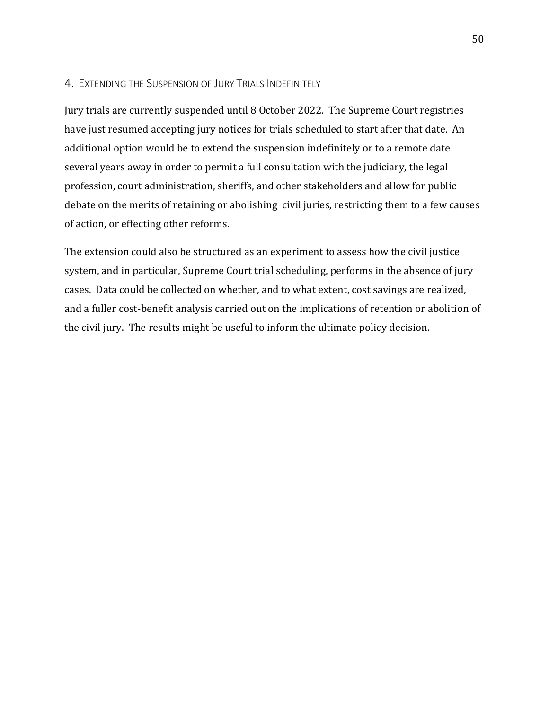#### <span id="page-55-0"></span>4. EXTENDING THE SUSPENSION OF JURY TRIALS INDEFINITELY

Jury trials are currently suspended until 8 October 2022. The Supreme Court registries have just resumed accepting jury notices for trials scheduled to start after that date. An additional option would be to extend the suspension indefinitely or to a remote date several years away in order to permit a full consultation with the judiciary, the legal profession, court administration, sheriffs, and other stakeholders and allow for public debate on the merits of retaining or abolishing civil juries, restricting them to a few causes of action, or effecting other reforms.

The extension could also be structured as an experiment to assess how the civil justice system, and in particular, Supreme Court trial scheduling, performs in the absence of jury cases. Data could be collected on whether, and to what extent, cost savings are realized, and a fuller cost-benefit analysis carried out on the implications of retention or abolition of the civil jury. The results might be useful to inform the ultimate policy decision.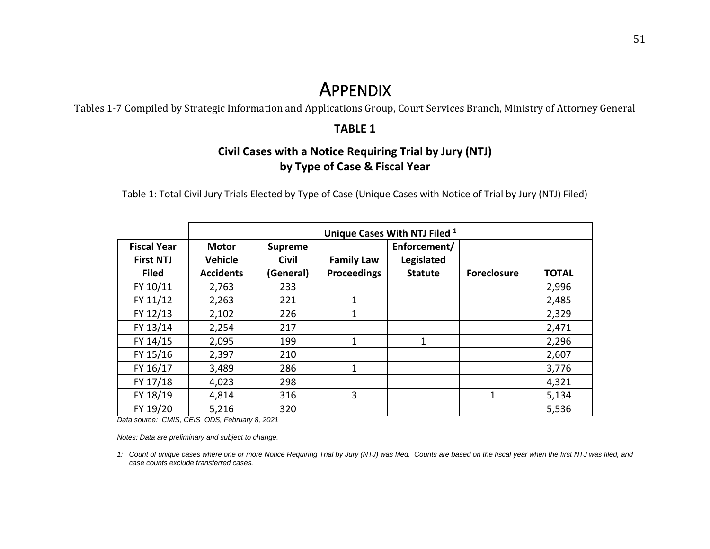# **APPENDIX**

Tables 1-7 Compiled by Strategic Information and Applications Group, Court Services Branch, Ministry of Attorney General

# **TABLE 1**

# **Civil Cases with a Notice Requiring Trial by Jury (NTJ) by Type of Case & Fiscal Year**

Table 1: Total Civil Jury Trials Elected by Type of Case (Unique Cases with Notice of Trial by Jury (NTJ) Filed)

<span id="page-56-0"></span>

|                    |                  | Unique Cases With NTJ Filed 1 |                    |                |                    |              |  |  |  |  |  |  |  |  |
|--------------------|------------------|-------------------------------|--------------------|----------------|--------------------|--------------|--|--|--|--|--|--|--|--|
| <b>Fiscal Year</b> | <b>Motor</b>     | <b>Supreme</b>                |                    | Enforcement/   |                    |              |  |  |  |  |  |  |  |  |
| <b>First NTJ</b>   | <b>Vehicle</b>   | <b>Civil</b>                  | <b>Family Law</b>  | Legislated     |                    |              |  |  |  |  |  |  |  |  |
| <b>Filed</b>       | <b>Accidents</b> | (General)                     | <b>Proceedings</b> | <b>Statute</b> | <b>Foreclosure</b> | <b>TOTAL</b> |  |  |  |  |  |  |  |  |
| FY 10/11           | 2,763            | 233                           |                    |                |                    | 2,996        |  |  |  |  |  |  |  |  |
| FY 11/12           | 2,263            | 221                           | 1                  |                |                    | 2,485        |  |  |  |  |  |  |  |  |
| FY 12/13           | 2,102            | 226                           | $\mathbf{1}$       |                |                    | 2,329        |  |  |  |  |  |  |  |  |
| FY 13/14           | 2,254            | 217                           |                    |                |                    | 2,471        |  |  |  |  |  |  |  |  |
| FY 14/15           | 2,095            | 199                           | 1                  | 1              |                    | 2,296        |  |  |  |  |  |  |  |  |
| FY 15/16           | 2,397            | 210                           |                    |                |                    | 2,607        |  |  |  |  |  |  |  |  |
| FY 16/17           | 3,489            | 286                           | $\mathbf{1}$       |                |                    | 3,776        |  |  |  |  |  |  |  |  |
| FY 17/18           | 4,023            | 298                           |                    |                |                    | 4,321        |  |  |  |  |  |  |  |  |
| FY 18/19           | 4,814            | 316                           | 3                  |                | 1                  | 5,134        |  |  |  |  |  |  |  |  |
| FY 19/20           | 5,216            | 320                           |                    |                |                    | 5,536        |  |  |  |  |  |  |  |  |

*Data source: CMIS, CEIS\_ODS, February 8, 2021*

*Notes: Data are preliminary and subject to change.*

*1: Count of unique cases where one or more Notice Requiring Trial by Jury (NTJ) was filed. Counts are based on the fiscal year when the first NTJ was filed, and case counts exclude transferred cases.*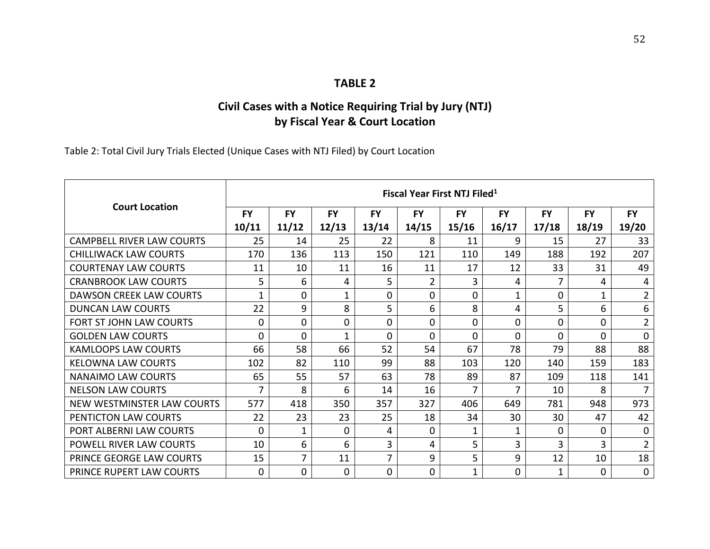# **Civil Cases with a Notice Requiring Trial by Jury (NTJ) by Fiscal Year & Court Location**

Table 2: Total Civil Jury Trials Elected (Unique Cases with NTJ Filed) by Court Location

|                                  | Fiscal Year First NTJ Filed <sup>1</sup> |                |           |                |                |              |              |           |                |                |  |
|----------------------------------|------------------------------------------|----------------|-----------|----------------|----------------|--------------|--------------|-----------|----------------|----------------|--|
| <b>Court Location</b>            | <b>FY</b>                                | <b>FY</b>      | <b>FY</b> | <b>FY</b>      | <b>FY</b>      | <b>FY</b>    | <b>FY</b>    | <b>FY</b> | <b>FY</b>      | <b>FY</b>      |  |
|                                  | 10/11                                    | 11/12          | 12/13     | 13/14          | 14/15          | 15/16        | 16/17        | 17/18     | 18/19          | 19/20          |  |
| <b>CAMPBELL RIVER LAW COURTS</b> | 25                                       | 14             | 25        | 22             | 8              | 11           | 9            | 15        | 27             | 33             |  |
| <b>CHILLIWACK LAW COURTS</b>     | 170                                      | 136            | 113       | 150            | 121            | 110          | 149          | 188       | 192            | 207            |  |
| <b>COURTENAY LAW COURTS</b>      | 11                                       | 10             | 11        | 16             | 11             | 17           | 12           | 33        | 31             | 49             |  |
| <b>CRANBROOK LAW COURTS</b>      | 5                                        | 6              | 4         | 5              | $\overline{2}$ | 3            | 4            | 7         | 4              | 4              |  |
| <b>DAWSON CREEK LAW COURTS</b>   | $\mathbf 1$                              | $\overline{0}$ |           | 0              | 0              | 0            | $\mathbf{1}$ | $\Omega$  | 1              | $\overline{2}$ |  |
| <b>DUNCAN LAW COURTS</b>         | 22                                       | 9              | 8         | 5              | 6              | 8            | 4            | 5         | 6              | 6              |  |
| <b>FORT ST JOHN LAW COURTS</b>   | 0                                        | $\Omega$       | $\Omega$  | 0              | $\mathbf 0$    | 0            | 0            | $\Omega$  | $\Omega$       | $\overline{2}$ |  |
| <b>GOLDEN LAW COURTS</b>         | $\Omega$                                 | $\mathbf 0$    |           | 0              | $\Omega$       | 0            | 0            | $\Omega$  | $\Omega$       | $\overline{0}$ |  |
| <b>KAMLOOPS LAW COURTS</b>       | 66                                       | 58             | 66        | 52             | 54             | 67           | 78           | 79        | 88             | 88             |  |
| <b>KELOWNA LAW COURTS</b>        | 102                                      | 82             | 110       | 99             | 88             | 103          | 120          | 140       | 159            | 183            |  |
| <b>NANAIMO LAW COURTS</b>        | 65                                       | 55             | 57        | 63             | 78             | 89           | 87           | 109       | 118            | 141            |  |
| <b>NELSON LAW COURTS</b>         | 7                                        | 8              | 6         | 14             | 16             | 7            | 7            | 10        | 8              | $\overline{7}$ |  |
| NEW WESTMINSTER LAW COURTS       | 577                                      | 418            | 350       | 357            | 327            | 406          | 649          | 781       | 948            | 973            |  |
| PENTICTON LAW COURTS             | 22                                       | 23             | 23        | 25             | 18             | 34           | 30           | 30        | 47             | 42             |  |
| PORT ALBERNI LAW COURTS          | 0                                        | $\mathbf{1}$   | 0         | 4              | $\mathbf 0$    | $\mathbf 1$  | $\mathbf{1}$ | $\Omega$  | $\mathbf 0$    | $\mathbf 0$    |  |
| POWELL RIVER LAW COURTS          | 10                                       | 6              | 6         | 3              | 4              | 5            | 3            | 3         | $\overline{3}$ | $\overline{2}$ |  |
| PRINCE GEORGE LAW COURTS         | 15                                       | 7              | 11        | $\overline{7}$ | 9              | 5            | 9            | 12        | 10             | 18             |  |
| PRINCE RUPERT LAW COURTS         | 0                                        | $\mathbf 0$    | 0         | 0              | 0              | $\mathbf{1}$ | 0            | 1         | 0              | $\mathbf 0$    |  |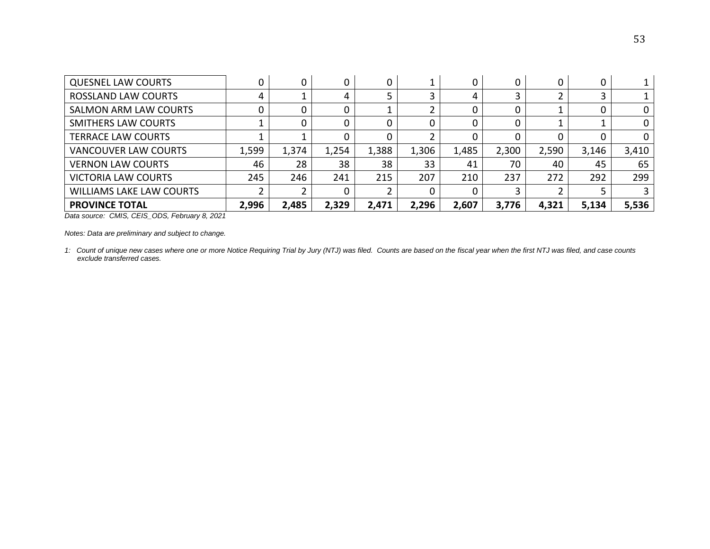| <b>QUESNEL LAW COURTS</b>       |       | 0     |       |       |       | 0     |       |       |       |          |
|---------------------------------|-------|-------|-------|-------|-------|-------|-------|-------|-------|----------|
| <b>ROSSLAND LAW COURTS</b>      | 4     |       | 4     |       |       | 4     |       |       |       |          |
| <b>SALMON ARM LAW COURTS</b>    |       |       |       |       |       | 0     |       |       |       | $\Omega$ |
| SMITHERS LAW COURTS             |       | O     |       |       |       | 0     |       |       |       | $\Omega$ |
| <b>TERRACE LAW COURTS</b>       |       |       |       |       |       | 0     |       |       |       | $\Omega$ |
| <b>VANCOUVER LAW COURTS</b>     | 1,599 | 1,374 | 1,254 | 1,388 | 1,306 | 1,485 | 2,300 | 2,590 | 3,146 | 3,410    |
| <b>VERNON LAW COURTS</b>        | 46    | 28    | 38    | 38    | 33    | 41    | 70    | 40    | 45    | 65       |
| <b>VICTORIA LAW COURTS</b>      | 245   | 246   | 241   | 215   | 207   | 210   | 237   | 272   | 292   | 299      |
| <b>WILLIAMS LAKE LAW COURTS</b> |       | ∠     |       |       | 0     | 0     |       |       |       | 3        |
| <b>PROVINCE TOTAL</b>           | 2,996 | 2,485 | 2,329 | 2,471 | 2,296 | 2,607 | 3,776 | 4,321 | 5,134 | 5,536    |

*Data source: CMIS, CEIS\_ODS, February 8, 2021*

*Notes: Data are preliminary and subject to change.*

*1: Count of unique new cases where one or more Notice Requiring Trial by Jury (NTJ) was filed. Counts are based on the fiscal year when the first NTJ was filed, and case counts exclude transferred cases.*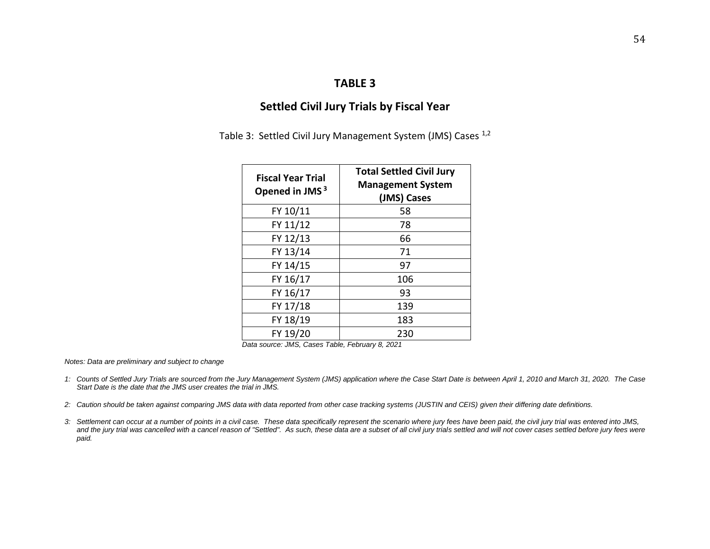# **Settled Civil Jury Trials by Fiscal Year**

Table 3: Settled Civil Jury Management System (JMS) Cases 1,2

| <b>Fiscal Year Trial</b><br>Opened in JMS <sup>3</sup> | <b>Total Settled Civil Jury</b><br><b>Management System</b><br>(JMS) Cases |
|--------------------------------------------------------|----------------------------------------------------------------------------|
| FY 10/11                                               | 58                                                                         |
| FY 11/12                                               | 78                                                                         |
| FY 12/13                                               | 66                                                                         |
| FY 13/14                                               | 71                                                                         |
| FY 14/15                                               | 97                                                                         |
| FY 16/17                                               | 106                                                                        |
| FY 16/17                                               | 93                                                                         |
| FY 17/18                                               | 139                                                                        |
| FY 18/19                                               | 183                                                                        |
| FY 19/20                                               | 230                                                                        |

*Data source: JMS, Cases Table, February 8, 2021*

*Notes: Data are preliminary and subject to change*

- *1: Counts of Settled Jury Trials are sourced from the Jury Management System (JMS) application where the Case Start Date is between April 1, 2010 and March 31, 2020. The Case Start Date is the date that the JMS user creates the trial in JMS.*
- *2: Caution should be taken against comparing JMS data with data reported from other case tracking systems (JUSTIN and CEIS) given their differing date definitions.*
- *3: Settlement can occur at a number of points in a civil case. These data specifically represent the scenario where jury fees have been paid, the civil jury trial was entered into JMS,*  and the jury trial was cancelled with a cancel reason of "Settled". As such, these data are a subset of all civil jury trials settled and will not cover cases settled before jury fees were *paid.*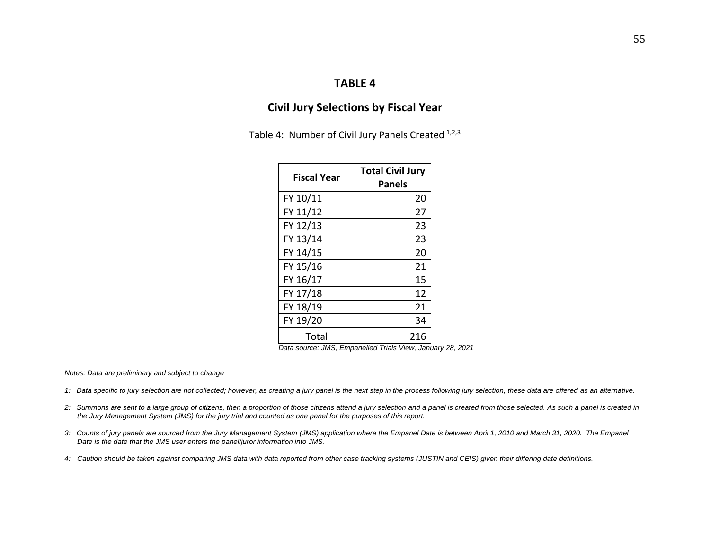#### **Civil Jury Selections by Fiscal Year**

Table 4: Number of Civil Jury Panels Created 1,2,3

| <b>Fiscal Year</b> | <b>Total Civil Jury</b><br><b>Panels</b> |
|--------------------|------------------------------------------|
| FY 10/11           | 20                                       |
| FY 11/12           | 27                                       |
| FY 12/13           | 23                                       |
| FY 13/14           | 23                                       |
| FY 14/15           | 20                                       |
| FY 15/16           | 21                                       |
| FY 16/17           | 15                                       |
| FY 17/18           | 12                                       |
| FY 18/19           | 21                                       |
| FY 19/20           | 34                                       |
| Total              | 216                                      |

*Data source: JMS, Empanelled Trials View, January 28, 2021*

*Notes: Data are preliminary and subject to change*

- *1: Data specific to jury selection are not collected; however, as creating a jury panel is the next step in the process following jury selection, these data are offered as an alternative.*
- 2: Summons are sent to a large group of citizens, then a proportion of those citizens attend a jury selection and a panel is created from those selected. As such a panel is created in *the Jury Management System (JMS) for the jury trial and counted as one panel for the purposes of this report.*
- *3: Counts of jury panels are sourced from the Jury Management System (JMS) application where the Empanel Date is between April 1, 2010 and March 31, 2020. The Empanel Date is the date that the JMS user enters the panel/juror information into JMS.*
- *4: Caution should be taken against comparing JMS data with data reported from other case tracking systems (JUSTIN and CEIS) given their differing date definitions.*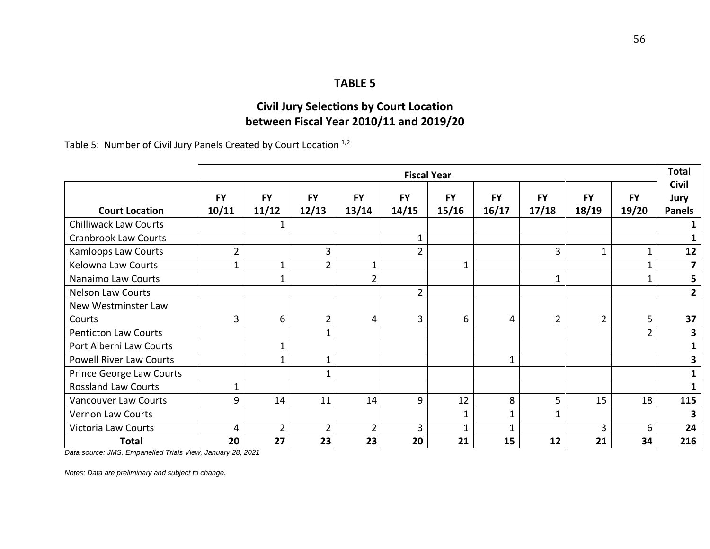# **Civil Jury Selections by Court Location between Fiscal Year 2010/11 and 2019/20**

Table 5: Number of Civil Jury Panels Created by Court Location 1,2

|                                |                    |                    |                    |                    | <b>Fiscal Year</b> |                    |                    |                    |                    |                    | <b>Total</b>                                 |
|--------------------------------|--------------------|--------------------|--------------------|--------------------|--------------------|--------------------|--------------------|--------------------|--------------------|--------------------|----------------------------------------------|
| <b>Court Location</b>          | <b>FY</b><br>10/11 | <b>FY</b><br>11/12 | <b>FY</b><br>12/13 | <b>FY</b><br>13/14 | <b>FY</b><br>14/15 | <b>FY</b><br>15/16 | <b>FY</b><br>16/17 | <b>FY</b><br>17/18 | <b>FY</b><br>18/19 | <b>FY</b><br>19/20 | <b>Civil</b><br><b>Jury</b><br><b>Panels</b> |
| <b>Chilliwack Law Courts</b>   |                    |                    |                    |                    |                    |                    |                    |                    |                    |                    | 1                                            |
| <b>Cranbrook Law Courts</b>    |                    |                    |                    |                    | $\mathbf{1}$       |                    |                    |                    |                    |                    | $\mathbf{1}$                                 |
| <b>Kamloops Law Courts</b>     | $\overline{2}$     |                    | 3                  |                    | $\overline{2}$     |                    |                    | 3                  | $\mathbf{1}$       | 1                  | 12                                           |
| Kelowna Law Courts             | $\mathbf{1}$       | 1                  | $\overline{2}$     | $\mathbf{1}$       |                    | 1                  |                    |                    |                    | 1                  | 7                                            |
| Nanaimo Law Courts             |                    |                    |                    | $\overline{2}$     |                    |                    |                    | $\mathbf 1$        |                    |                    | 5                                            |
| <b>Nelson Law Courts</b>       |                    |                    |                    |                    | $\overline{2}$     |                    |                    |                    |                    |                    | $2^{\circ}$                                  |
| New Westminster Law            |                    |                    |                    |                    |                    |                    |                    |                    |                    |                    |                                              |
| Courts                         | 3                  | 6                  | $\overline{2}$     | 4                  | 3                  | 6                  | 4                  | $\overline{2}$     | $\overline{2}$     | 5                  | 37                                           |
| <b>Penticton Law Courts</b>    |                    |                    | 1                  |                    |                    |                    |                    |                    |                    | $\overline{2}$     | 3                                            |
| Port Alberni Law Courts        |                    |                    |                    |                    |                    |                    |                    |                    |                    |                    | $\mathbf{1}$                                 |
| <b>Powell River Law Courts</b> |                    |                    | 1                  |                    |                    |                    | $\mathbf 1$        |                    |                    |                    | 3                                            |
| Prince George Law Courts       |                    |                    | $\mathbf{1}$       |                    |                    |                    |                    |                    |                    |                    | $\mathbf{1}$                                 |
| <b>Rossland Law Courts</b>     | $\mathbf 1$        |                    |                    |                    |                    |                    |                    |                    |                    |                    | 1                                            |
| <b>Vancouver Law Courts</b>    | 9                  | 14                 | 11                 | 14                 | 9                  | 12                 | 8                  | 5                  | 15                 | 18                 | 115                                          |
| <b>Vernon Law Courts</b>       |                    |                    |                    |                    |                    | 1                  | $\mathbf 1$        | 1                  |                    |                    | 3                                            |
| Victoria Law Courts            | 4                  | $\overline{2}$     | $\overline{2}$     | $\overline{2}$     | $\overline{3}$     | $\mathbf{1}$       | 1                  |                    | 3                  | 6                  | 24                                           |
| <b>Total</b>                   | 20                 | 27                 | 23                 | 23                 | 20                 | 21                 | 15                 | 12                 | 21                 | 34                 | 216                                          |

*Data source: JMS, Empanelled Trials View, January 28, 2021*

*Notes: Data are preliminary and subject to change.*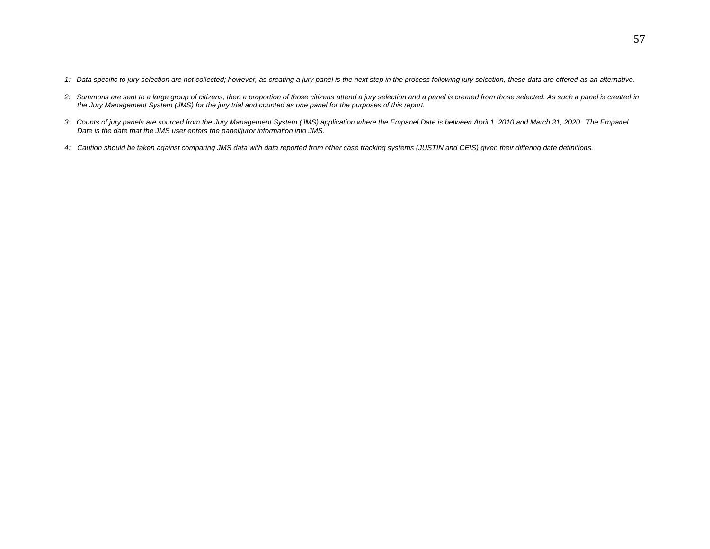- *1: Data specific to jury selection are not collected; however, as creating a jury panel is the next step in the process following jury selection, these data are offered as an alternative.*
- *2: Summons are sent to a large group of citizens, then a proportion of those citizens attend a jury selection and a panel is created from those selected. As such a panel is created in the Jury Management System (JMS) for the jury trial and counted as one panel for the purposes of this report.*
- *3: Counts of jury panels are sourced from the Jury Management System (JMS) application where the Empanel Date is between April 1, 2010 and March 31, 2020. The Empanel Date is the date that the JMS user enters the panel/juror information into JMS.*
- *4: Caution should be taken against comparing JMS data with data reported from other case tracking systems (JUSTIN and CEIS) given their differing date definitions.*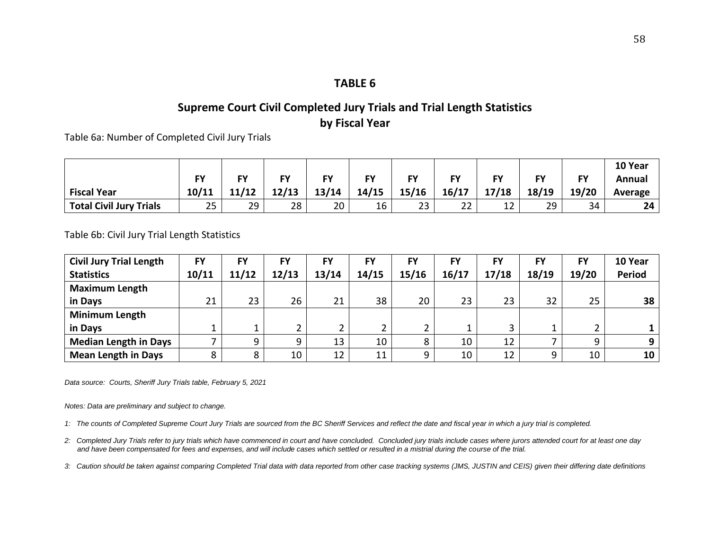# **Supreme Court Civil Completed Jury Trials and Trial Length Statistics by Fiscal Year**

Table 6a: Number of Completed Civil Jury Trials

|                                |       |       |       |       |       |       |       |         |       |       | 10 Year |
|--------------------------------|-------|-------|-------|-------|-------|-------|-------|---------|-------|-------|---------|
|                                | ΕV    | cν    | EV    | FΥ    | сv    | EV    | EV    | FV      | FV    | EV    | Annual  |
| <b>Fiscal Year</b>             | 10/11 | 11/12 | 12/13 | 13/14 | 14/15 | 15/16 | 16/17 | 17/18   | 18/19 | 19/20 | Average |
| <b>Total Civil Jury Trials</b> | 25    | 29    | 28    | 20    | 16    | 23    | 22    | 1つ<br>ᅩ | 29    | 34    | 24      |

Table 6b: Civil Jury Trial Length Statistics

| <b>Civil Jury Trial Length</b> | <b>FY</b> | FY    | <b>FY</b> | <b>FY</b> | FY    | <b>FY</b> | <b>FY</b> | <b>FY</b> | <b>FY</b> | <b>FY</b> | 10 Year       |
|--------------------------------|-----------|-------|-----------|-----------|-------|-----------|-----------|-----------|-----------|-----------|---------------|
| <b>Statistics</b>              | 10/11     | 11/12 | 12/13     | 13/14     | 14/15 | 15/16     | 16/17     | 17/18     | 18/19     | 19/20     | <b>Period</b> |
| <b>Maximum Length</b>          |           |       |           |           |       |           |           |           |           |           |               |
| in Days                        | 21        | 23    | 26        | 21        | 38    | 20        | 23        | 23        | 32        | 25        | 38            |
| <b>Minimum Length</b>          |           |       |           |           |       |           |           |           |           |           |               |
| in Days                        |           |       |           |           | ົ     |           |           | 3         |           |           |               |
| <b>Median Length in Days</b>   |           | 9     |           | 13        | 10    | 8         | 10        | 12        |           |           | 9             |
| <b>Mean Length in Days</b>     | 8         | 8     | 10        | 12        | 11    | Q         | 10        | 12        | a         | 10        | 10            |

*Data source: Courts, Sheriff Jury Trials table, February 5, 2021*

*Notes: Data are preliminary and subject to change.*

- *1: The counts of Completed Supreme Court Jury Trials are sourced from the BC Sheriff Services and reflect the date and fiscal year in which a jury trial is completed.*
- *2: Completed Jury Trials refer to jury trials which have commenced in court and have concluded. Concluded jury trials include cases where jurors attended court for at least one day and have been compensated for fees and expenses, and will include cases which settled or resulted in a mistrial during the course of the trial.*
- *3: Caution should be taken against comparing Completed Trial data with data reported from other case tracking systems (JMS, JUSTIN and CEIS) given their differing date definitions*